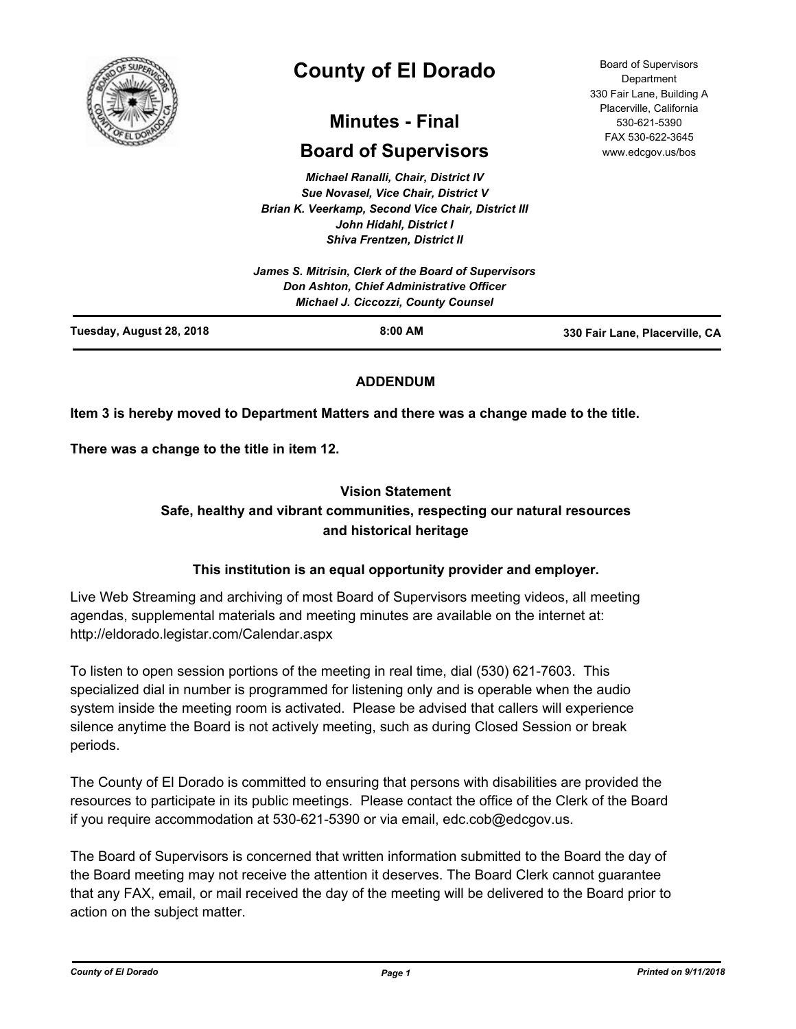

# **County of El Dorado**

## **Minutes - Final**

## **Board of Supervisors**

*Michael Ranalli, Chair, District IV Sue Novasel, Vice Chair, District V Brian K. Veerkamp, Second Vice Chair, District III John Hidahl, District I Shiva Frentzen, District II*

|                          | James S. Mitrisin, Clerk of the Board of Supervisors<br><b>Don Ashton, Chief Administrative Officer</b><br>Michael J. Ciccozzi, County Counsel |                                |
|--------------------------|------------------------------------------------------------------------------------------------------------------------------------------------|--------------------------------|
| Tuesday, August 28, 2018 | $8:00$ AM                                                                                                                                      | 330 Fair Lane, Placerville, CA |

## **ADDENDUM**

## **Item 3 is hereby moved to Department Matters and there was a change made to the title.**

**There was a change to the title in item 12.**

## **Vision Statement**

## **Safe, healthy and vibrant communities, respecting our natural resources and historical heritage**

## **This institution is an equal opportunity provider and employer.**

Live Web Streaming and archiving of most Board of Supervisors meeting videos, all meeting agendas, supplemental materials and meeting minutes are available on the internet at: http://eldorado.legistar.com/Calendar.aspx

To listen to open session portions of the meeting in real time, dial (530) 621-7603. This specialized dial in number is programmed for listening only and is operable when the audio system inside the meeting room is activated. Please be advised that callers will experience silence anytime the Board is not actively meeting, such as during Closed Session or break periods.

The County of El Dorado is committed to ensuring that persons with disabilities are provided the resources to participate in its public meetings. Please contact the office of the Clerk of the Board if you require accommodation at 530-621-5390 or via email, edc.cob@edcgov.us.

The Board of Supervisors is concerned that written information submitted to the Board the day of the Board meeting may not receive the attention it deserves. The Board Clerk cannot guarantee that any FAX, email, or mail received the day of the meeting will be delivered to the Board prior to action on the subject matter.

Board of Supervisors Department 330 Fair Lane, Building A Placerville, California 530-621-5390 FAX 530-622-3645 www.edcgov.us/bos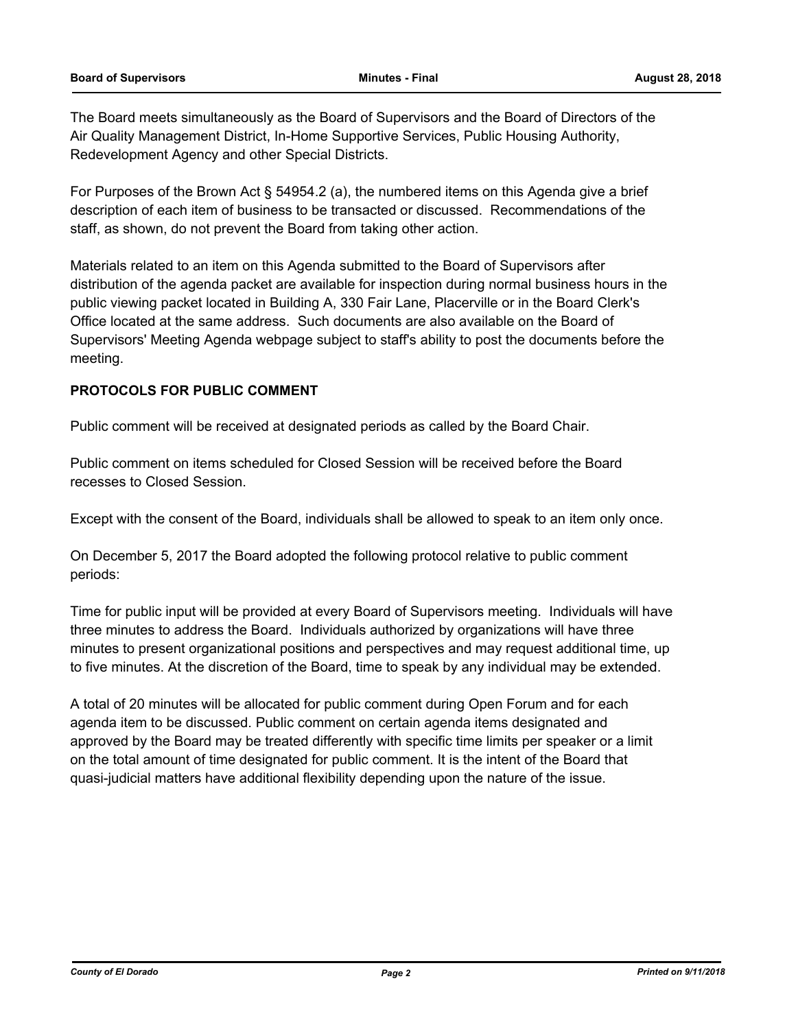The Board meets simultaneously as the Board of Supervisors and the Board of Directors of the Air Quality Management District, In-Home Supportive Services, Public Housing Authority, Redevelopment Agency and other Special Districts.

For Purposes of the Brown Act § 54954.2 (a), the numbered items on this Agenda give a brief description of each item of business to be transacted or discussed. Recommendations of the staff, as shown, do not prevent the Board from taking other action.

Materials related to an item on this Agenda submitted to the Board of Supervisors after distribution of the agenda packet are available for inspection during normal business hours in the public viewing packet located in Building A, 330 Fair Lane, Placerville or in the Board Clerk's Office located at the same address. Such documents are also available on the Board of Supervisors' Meeting Agenda webpage subject to staff's ability to post the documents before the meeting.

## **PROTOCOLS FOR PUBLIC COMMENT**

Public comment will be received at designated periods as called by the Board Chair.

Public comment on items scheduled for Closed Session will be received before the Board recesses to Closed Session.

Except with the consent of the Board, individuals shall be allowed to speak to an item only once.

On December 5, 2017 the Board adopted the following protocol relative to public comment periods:

Time for public input will be provided at every Board of Supervisors meeting. Individuals will have three minutes to address the Board. Individuals authorized by organizations will have three minutes to present organizational positions and perspectives and may request additional time, up to five minutes. At the discretion of the Board, time to speak by any individual may be extended.

A total of 20 minutes will be allocated for public comment during Open Forum and for each agenda item to be discussed. Public comment on certain agenda items designated and approved by the Board may be treated differently with specific time limits per speaker or a limit on the total amount of time designated for public comment. It is the intent of the Board that quasi-judicial matters have additional flexibility depending upon the nature of the issue.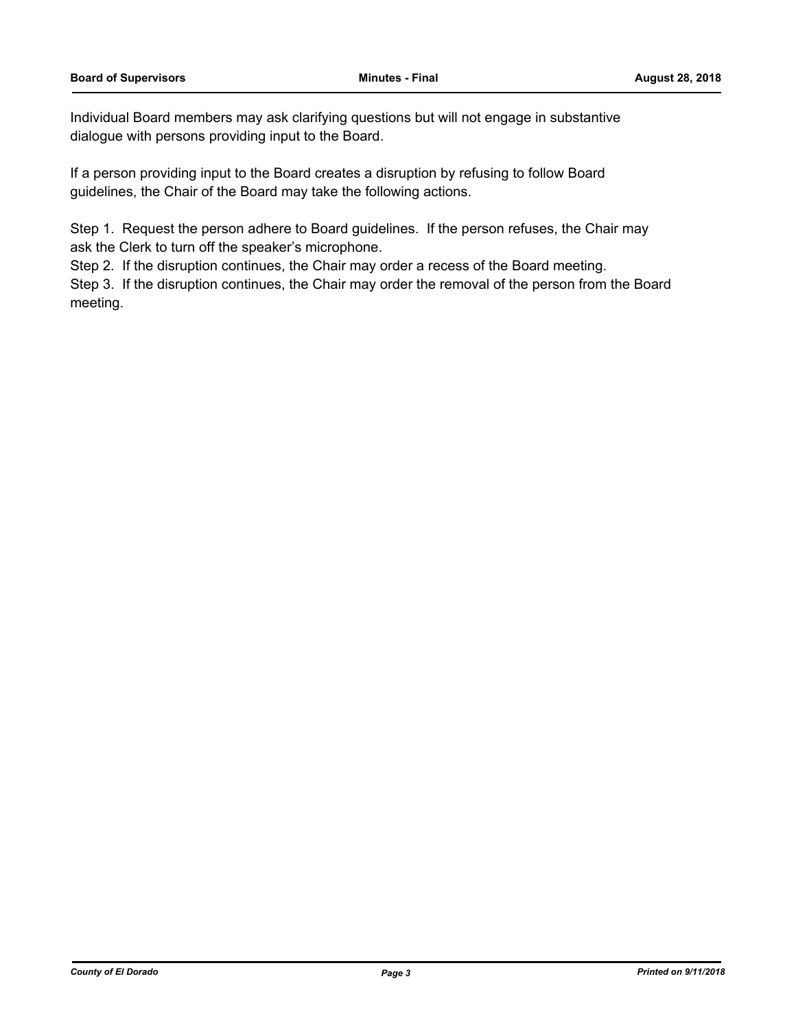Individual Board members may ask clarifying questions but will not engage in substantive dialogue with persons providing input to the Board.

If a person providing input to the Board creates a disruption by refusing to follow Board guidelines, the Chair of the Board may take the following actions.

Step 1. Request the person adhere to Board guidelines. If the person refuses, the Chair may ask the Clerk to turn off the speaker's microphone.

Step 2. If the disruption continues, the Chair may order a recess of the Board meeting.

Step 3. If the disruption continues, the Chair may order the removal of the person from the Board meeting.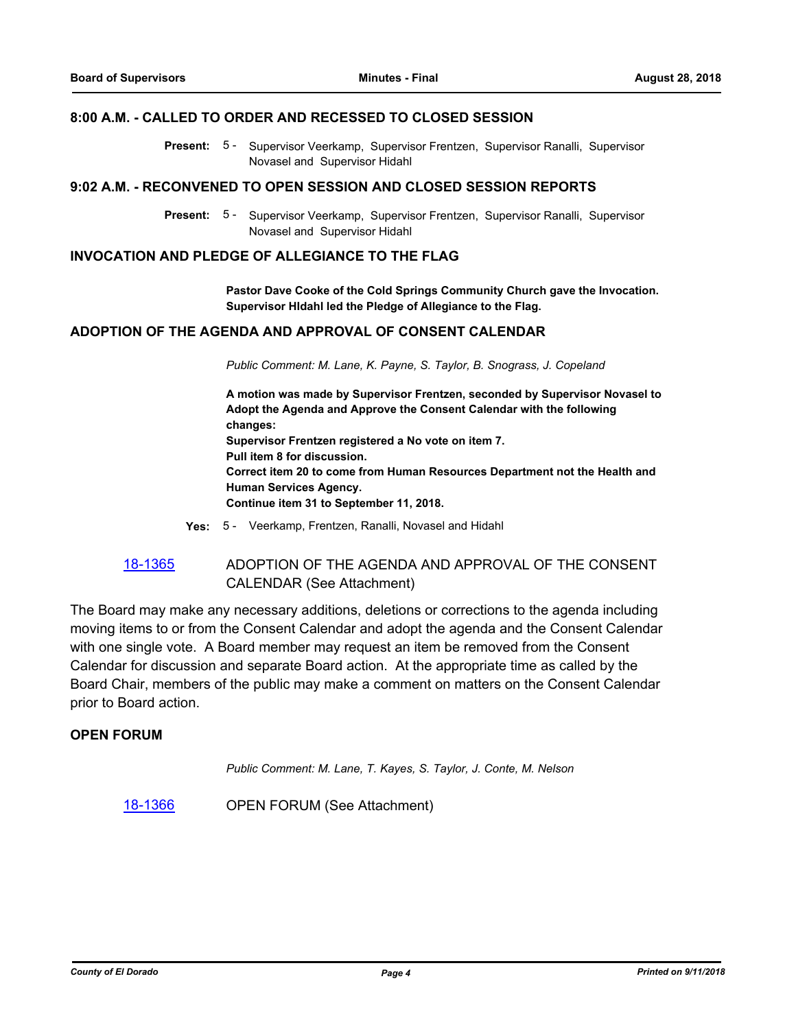## **8:00 A.M. - CALLED TO ORDER AND RECESSED TO CLOSED SESSION**

Present: 5 - Supervisor Veerkamp, Supervisor Frentzen, Supervisor Ranalli, Supervisor Novasel and Supervisor Hidahl

#### **9:02 A.M. - RECONVENED TO OPEN SESSION AND CLOSED SESSION REPORTS**

Present: 5 - Supervisor Veerkamp, Supervisor Frentzen, Supervisor Ranalli, Supervisor Novasel and Supervisor Hidahl

## **INVOCATION AND PLEDGE OF ALLEGIANCE TO THE FLAG**

**Pastor Dave Cooke of the Cold Springs Community Church gave the Invocation. Supervisor HIdahl led the Pledge of Allegiance to the Flag.**

## **ADOPTION OF THE AGENDA AND APPROVAL OF CONSENT CALENDAR**

*Public Comment: M. Lane, K. Payne, S. Taylor, B. Snograss, J. Copeland*

**A motion was made by Supervisor Frentzen, seconded by Supervisor Novasel to Adopt the Agenda and Approve the Consent Calendar with the following changes: Supervisor Frentzen registered a No vote on item 7. Pull item 8 for discussion. Correct item 20 to come from Human Resources Department not the Health and Human Services Agency. Continue item 31 to September 11, 2018.**

- **Yes:** 5 Veerkamp, Frentzen, Ranalli, Novasel and Hidahl
- [18-1365](http://eldorado.legistar.com/gateway.aspx?m=l&id=/matter.aspx?key=24717) ADOPTION OF THE AGENDA AND APPROVAL OF THE CONSENT CALENDAR (See Attachment)

The Board may make any necessary additions, deletions or corrections to the agenda including moving items to or from the Consent Calendar and adopt the agenda and the Consent Calendar with one single vote. A Board member may request an item be removed from the Consent Calendar for discussion and separate Board action. At the appropriate time as called by the Board Chair, members of the public may make a comment on matters on the Consent Calendar prior to Board action.

#### **OPEN FORUM**

*Public Comment: M. Lane, T. Kayes, S. Taylor, J. Conte, M. Nelson*

[18-1366](http://eldorado.legistar.com/gateway.aspx?m=l&id=/matter.aspx?key=24718) OPEN FORUM (See Attachment)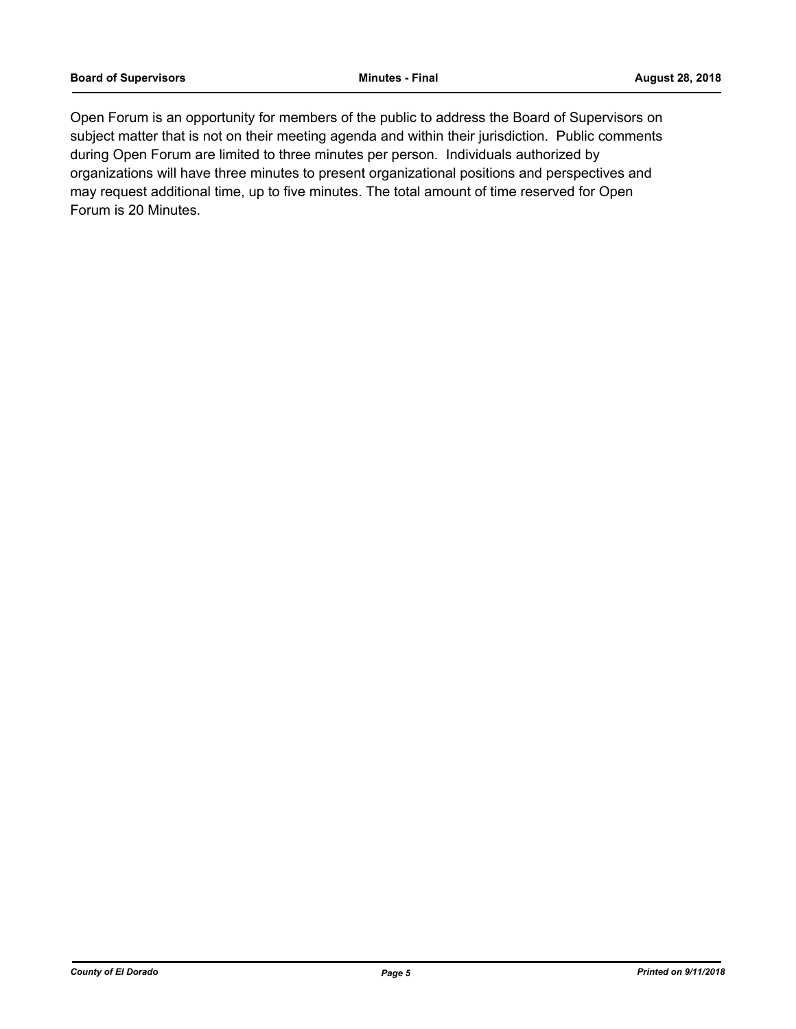Open Forum is an opportunity for members of the public to address the Board of Supervisors on subject matter that is not on their meeting agenda and within their jurisdiction. Public comments during Open Forum are limited to three minutes per person. Individuals authorized by organizations will have three minutes to present organizational positions and perspectives and may request additional time, up to five minutes. The total amount of time reserved for Open Forum is 20 Minutes.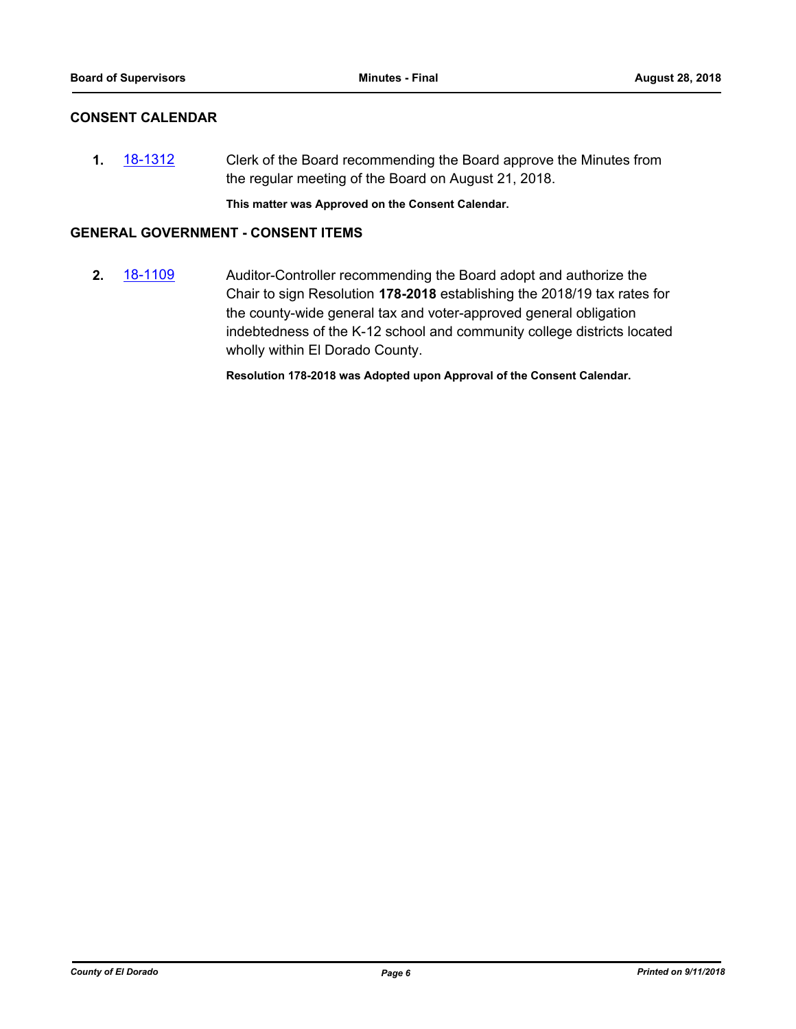## **CONSENT CALENDAR**

**1.** [18-1312](http://eldorado.legistar.com/gateway.aspx?m=l&id=/matter.aspx?key=24663) Clerk of the Board recommending the Board approve the Minutes from the regular meeting of the Board on August 21, 2018.

**This matter was Approved on the Consent Calendar.**

## **GENERAL GOVERNMENT - CONSENT ITEMS**

**2.** [18-1109](http://eldorado.legistar.com/gateway.aspx?m=l&id=/matter.aspx?key=24459) Auditor-Controller recommending the Board adopt and authorize the Chair to sign Resolution **178-2018** establishing the 2018/19 tax rates for the county-wide general tax and voter-approved general obligation indebtedness of the K-12 school and community college districts located wholly within El Dorado County.

**Resolution 178-2018 was Adopted upon Approval of the Consent Calendar.**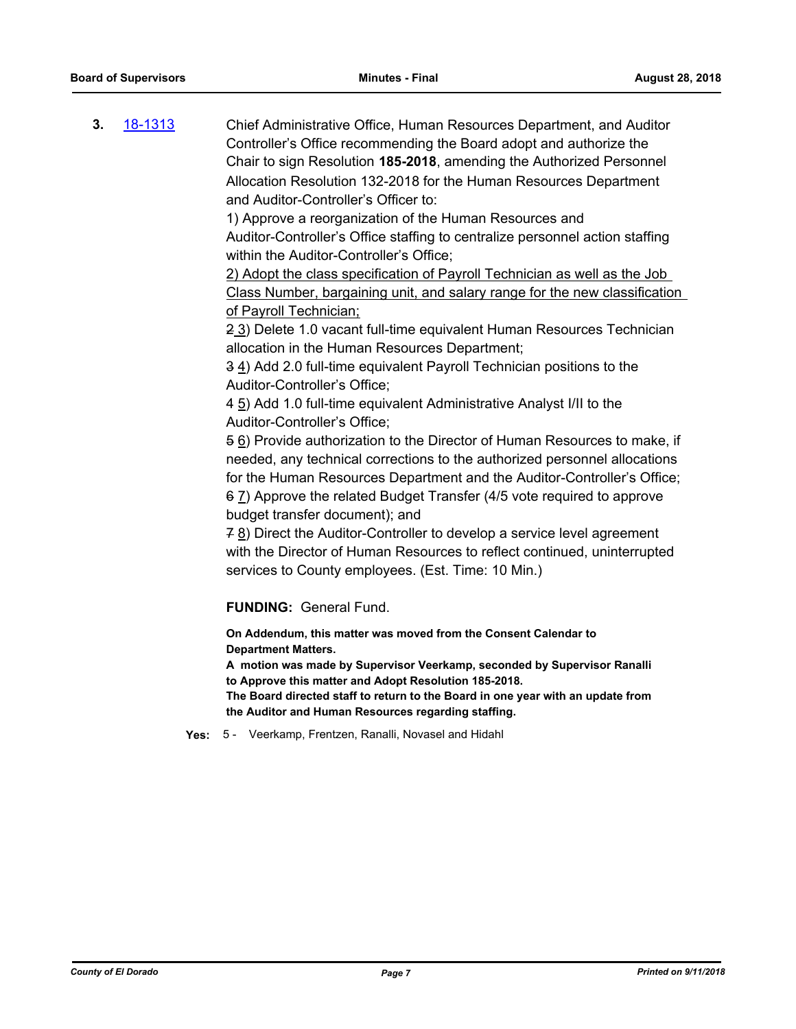**3.** [18-1313](http://eldorado.legistar.com/gateway.aspx?m=l&id=/matter.aspx?key=24664) Chief Administrative Office, Human Resources Department, and Auditor Controller's Office recommending the Board adopt and authorize the Chair to sign Resolution **185-2018**, amending the Authorized Personnel Allocation Resolution 132-2018 for the Human Resources Department and Auditor-Controller's Officer to:

> 1) Approve a reorganization of the Human Resources and Auditor-Controller's Office staffing to centralize personnel action staffing within the Auditor-Controller's Office;

2) Adopt the class specification of Payroll Technician as well as the Job Class Number, bargaining unit, and salary range for the new classification of Payroll Technician;

2 3) Delete 1.0 vacant full-time equivalent Human Resources Technician allocation in the Human Resources Department;

3 4) Add 2.0 full-time equivalent Payroll Technician positions to the Auditor-Controller's Office;

4 5) Add 1.0 full-time equivalent Administrative Analyst I/II to the Auditor-Controller's Office;

5 6) Provide authorization to the Director of Human Resources to make, if needed, any technical corrections to the authorized personnel allocations for the Human Resources Department and the Auditor-Controller's Office; 6 7) Approve the related Budget Transfer (4/5 vote required to approve budget transfer document); and

7 8) Direct the Auditor-Controller to develop a service level agreement with the Director of Human Resources to reflect continued, uninterrupted services to County employees. (Est. Time: 10 Min.)

**FUNDING:** General Fund.

**On Addendum, this matter was moved from the Consent Calendar to Department Matters.**

**A motion was made by Supervisor Veerkamp, seconded by Supervisor Ranalli to Approve this matter and Adopt Resolution 185-2018.**

**The Board directed staff to return to the Board in one year with an update from the Auditor and Human Resources regarding staffing.**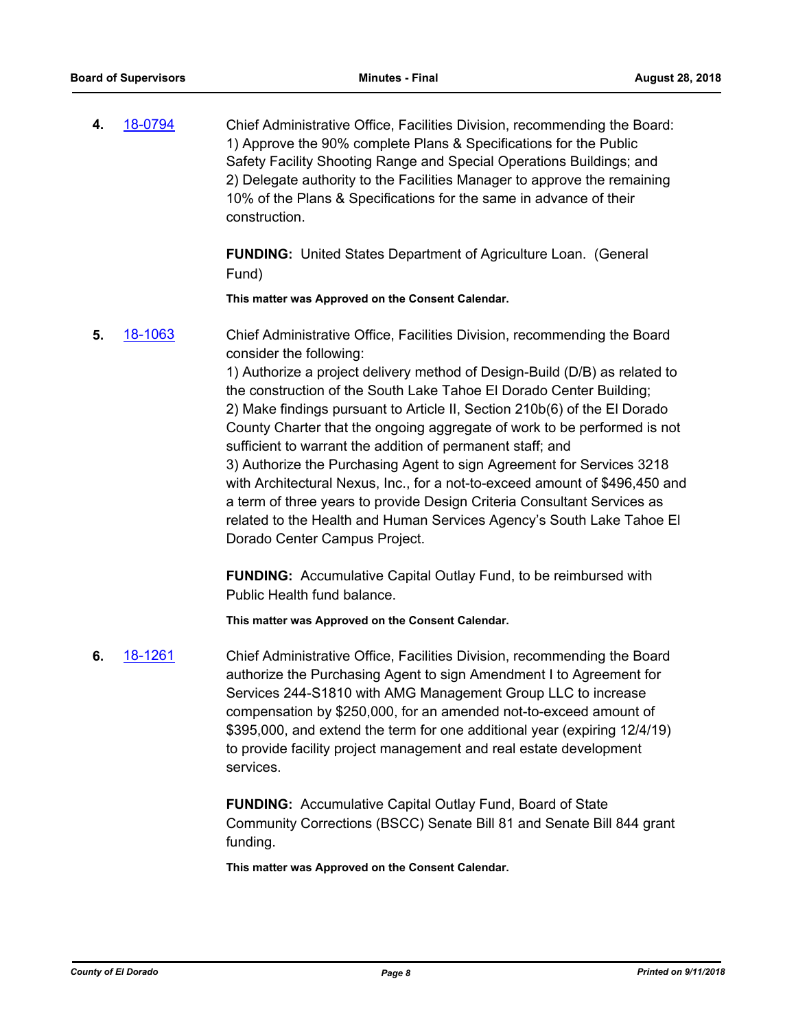**4.** [18-0794](http://eldorado.legistar.com/gateway.aspx?m=l&id=/matter.aspx?key=24141) Chief Administrative Office, Facilities Division, recommending the Board: 1) Approve the 90% complete Plans & Specifications for the Public Safety Facility Shooting Range and Special Operations Buildings; and 2) Delegate authority to the Facilities Manager to approve the remaining 10% of the Plans & Specifications for the same in advance of their construction.

> **FUNDING:** United States Department of Agriculture Loan. (General Fund)

**This matter was Approved on the Consent Calendar.**

**5.** [18-1063](http://eldorado.legistar.com/gateway.aspx?m=l&id=/matter.aspx?key=24413) Chief Administrative Office, Facilities Division, recommending the Board consider the following:

1) Authorize a project delivery method of Design-Build (D/B) as related to the construction of the South Lake Tahoe El Dorado Center Building; 2) Make findings pursuant to Article II, Section 210b(6) of the El Dorado County Charter that the ongoing aggregate of work to be performed is not sufficient to warrant the addition of permanent staff; and 3) Authorize the Purchasing Agent to sign Agreement for Services 3218 with Architectural Nexus, Inc., for a not-to-exceed amount of \$496,450 and a term of three years to provide Design Criteria Consultant Services as related to the Health and Human Services Agency's South Lake Tahoe El Dorado Center Campus Project.

**FUNDING:** Accumulative Capital Outlay Fund, to be reimbursed with Public Health fund balance.

**This matter was Approved on the Consent Calendar.**

**6.** [18-1261](http://eldorado.legistar.com/gateway.aspx?m=l&id=/matter.aspx?key=24612) Chief Administrative Office, Facilities Division, recommending the Board authorize the Purchasing Agent to sign Amendment I to Agreement for Services 244-S1810 with AMG Management Group LLC to increase compensation by \$250,000, for an amended not-to-exceed amount of \$395,000, and extend the term for one additional year (expiring 12/4/19) to provide facility project management and real estate development services.

> **FUNDING:** Accumulative Capital Outlay Fund, Board of State Community Corrections (BSCC) Senate Bill 81 and Senate Bill 844 grant funding.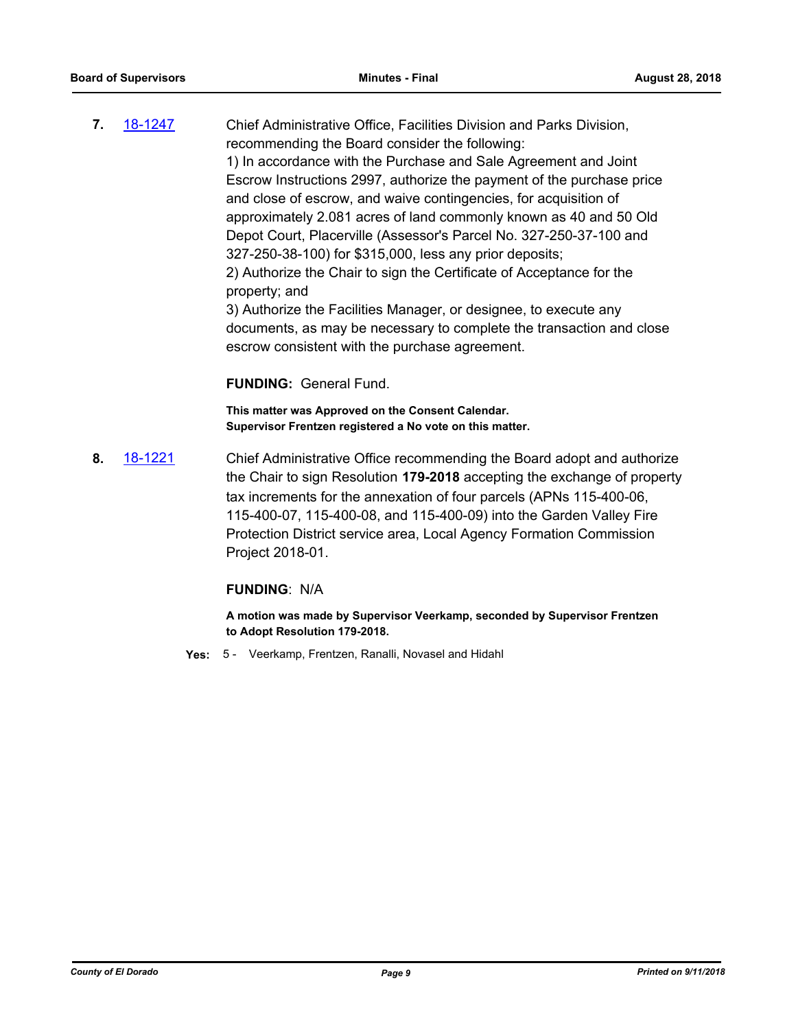**7.** [18-1247](http://eldorado.legistar.com/gateway.aspx?m=l&id=/matter.aspx?key=24598) Chief Administrative Office, Facilities Division and Parks Division, recommending the Board consider the following: 1) In accordance with the Purchase and Sale Agreement and Joint Escrow Instructions 2997, authorize the payment of the purchase price and close of escrow, and waive contingencies, for acquisition of approximately 2.081 acres of land commonly known as 40 and 50 Old Depot Court, Placerville (Assessor's Parcel No. 327-250-37-100 and 327-250-38-100) for \$315,000, less any prior deposits; 2) Authorize the Chair to sign the Certificate of Acceptance for the property; and 3) Authorize the Facilities Manager, or designee, to execute any documents, as may be necessary to complete the transaction and close escrow consistent with the purchase agreement.

#### **FUNDING:** General Fund.

**This matter was Approved on the Consent Calendar. Supervisor Frentzen registered a No vote on this matter.**

**8.** [18-1221](http://eldorado.legistar.com/gateway.aspx?m=l&id=/matter.aspx?key=24572) Chief Administrative Office recommending the Board adopt and authorize the Chair to sign Resolution **179-2018** accepting the exchange of property tax increments for the annexation of four parcels (APNs 115-400-06, 115-400-07, 115-400-08, and 115-400-09) into the Garden Valley Fire Protection District service area, Local Agency Formation Commission Project 2018-01.

#### **FUNDING**: N/A

**A motion was made by Supervisor Veerkamp, seconded by Supervisor Frentzen to Adopt Resolution 179-2018.**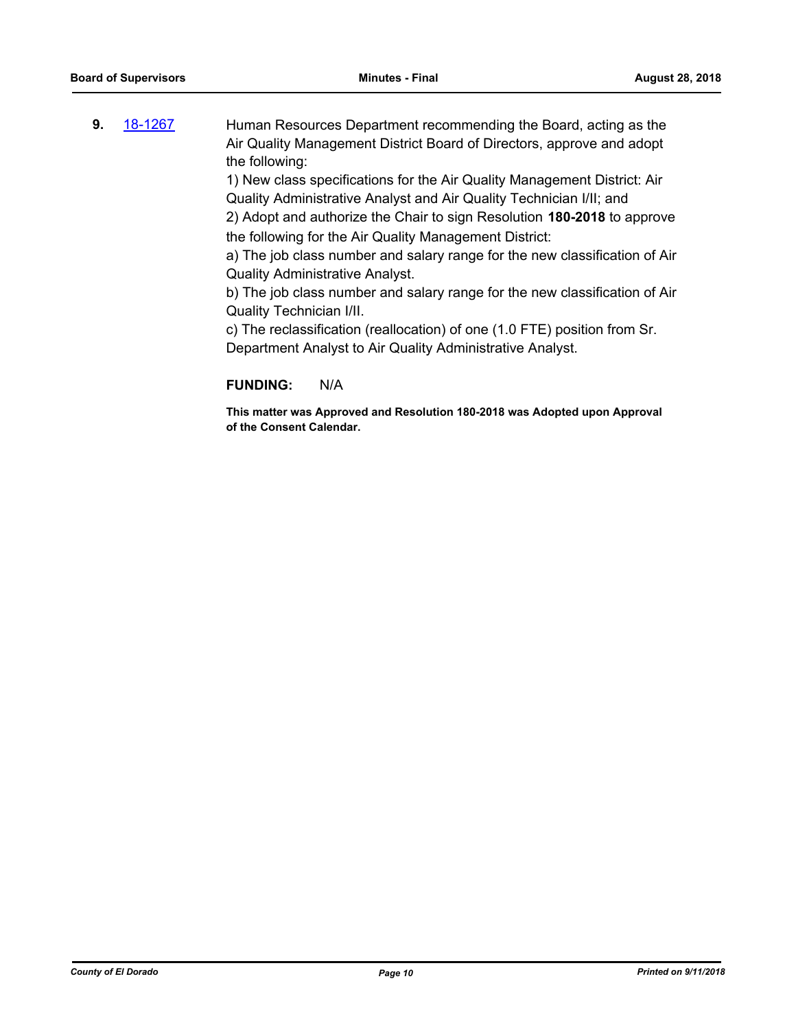**9.** [18-1267](http://eldorado.legistar.com/gateway.aspx?m=l&id=/matter.aspx?key=24618) Human Resources Department recommending the Board, acting as the Air Quality Management District Board of Directors, approve and adopt the following:

> 1) New class specifications for the Air Quality Management District: Air Quality Administrative Analyst and Air Quality Technician I/II; and 2) Adopt and authorize the Chair to sign Resolution **180-2018** to approve

the following for the Air Quality Management District:

a) The job class number and salary range for the new classification of Air Quality Administrative Analyst.

b) The job class number and salary range for the new classification of Air Quality Technician I/II.

c) The reclassification (reallocation) of one (1.0 FTE) position from Sr. Department Analyst to Air Quality Administrative Analyst.

## **FUNDING:** N/A

**This matter was Approved and Resolution 180-2018 was Adopted upon Approval of the Consent Calendar.**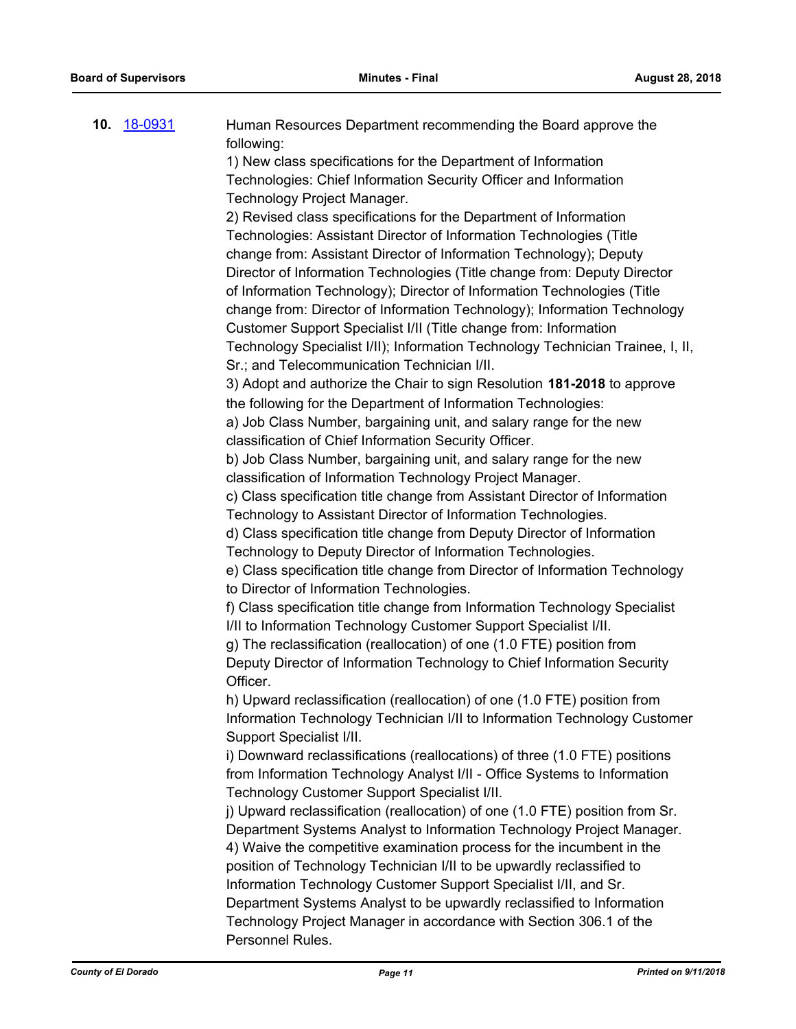| 10. | <u>18-0931</u> | Human Resources Department recommending the Board approve the                                                                               |
|-----|----------------|---------------------------------------------------------------------------------------------------------------------------------------------|
|     |                | following:                                                                                                                                  |
|     |                | 1) New class specifications for the Department of Information                                                                               |
|     |                | Technologies: Chief Information Security Officer and Information                                                                            |
|     |                | Technology Project Manager.                                                                                                                 |
|     |                | 2) Revised class specifications for the Department of Information                                                                           |
|     |                | Technologies: Assistant Director of Information Technologies (Title                                                                         |
|     |                | change from: Assistant Director of Information Technology); Deputy                                                                          |
|     |                | Director of Information Technologies (Title change from: Deputy Director                                                                    |
|     |                | of Information Technology); Director of Information Technologies (Title                                                                     |
|     |                | change from: Director of Information Technology); Information Technology                                                                    |
|     |                | Customer Support Specialist I/II (Title change from: Information                                                                            |
|     |                | Technology Specialist I/II); Information Technology Technician Trainee, I, II,                                                              |
|     |                | Sr.; and Telecommunication Technician I/II.                                                                                                 |
|     |                | 3) Adopt and authorize the Chair to sign Resolution 181-2018 to approve                                                                     |
|     |                | the following for the Department of Information Technologies:                                                                               |
|     |                | a) Job Class Number, bargaining unit, and salary range for the new                                                                          |
|     |                | classification of Chief Information Security Officer.                                                                                       |
|     |                | b) Job Class Number, bargaining unit, and salary range for the new                                                                          |
|     |                | classification of Information Technology Project Manager.                                                                                   |
|     |                | c) Class specification title change from Assistant Director of Information<br>Technology to Assistant Director of Information Technologies. |
|     |                | d) Class specification title change from Deputy Director of Information                                                                     |
|     |                | Technology to Deputy Director of Information Technologies.                                                                                  |
|     |                | e) Class specification title change from Director of Information Technology                                                                 |
|     |                | to Director of Information Technologies.                                                                                                    |
|     |                | f) Class specification title change from Information Technology Specialist                                                                  |
|     |                | I/II to Information Technology Customer Support Specialist I/II.                                                                            |
|     |                | g) The reclassification (reallocation) of one (1.0 FTE) position from                                                                       |
|     |                | Deputy Director of Information Technology to Chief Information Security                                                                     |
|     |                | Officer.                                                                                                                                    |
|     |                | h) Upward reclassification (reallocation) of one (1.0 FTE) position from                                                                    |
|     |                | Information Technology Technician I/II to Information Technology Customer                                                                   |
|     |                | Support Specialist I/II.                                                                                                                    |
|     |                | i) Downward reclassifications (reallocations) of three (1.0 FTE) positions                                                                  |
|     |                | from Information Technology Analyst I/II - Office Systems to Information                                                                    |
|     |                | Technology Customer Support Specialist I/II.                                                                                                |
|     |                | j) Upward reclassification (reallocation) of one (1.0 FTE) position from Sr.                                                                |
|     |                | Department Systems Analyst to Information Technology Project Manager.                                                                       |
|     |                | 4) Waive the competitive examination process for the incumbent in the                                                                       |
|     |                | position of Technology Technician I/II to be upwardly reclassified to                                                                       |
|     |                | Information Technology Customer Support Specialist I/II, and Sr.                                                                            |
|     |                | Department Systems Analyst to be upwardly reclassified to Information                                                                       |
|     |                | Technology Project Manager in accordance with Section 306.1 of the                                                                          |
|     |                | Personnel Rules.                                                                                                                            |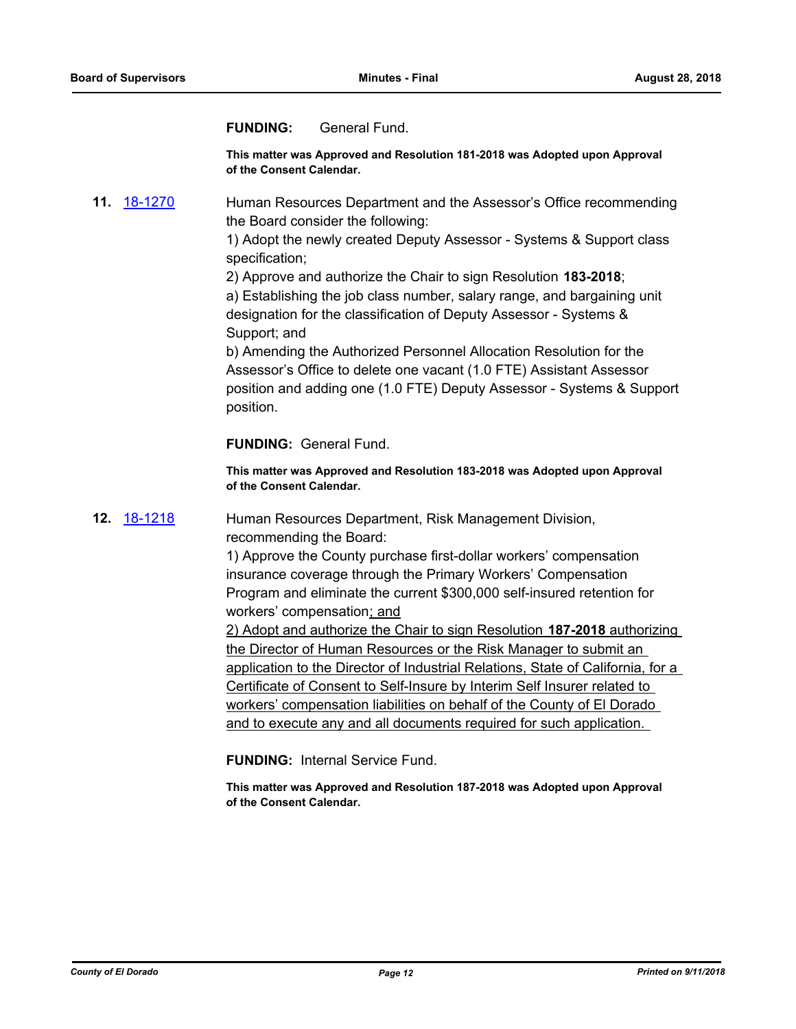## **FUNDING:** General Fund.

**This matter was Approved and Resolution 181-2018 was Adopted upon Approval of the Consent Calendar.**

**11.** [18-1270](http://eldorado.legistar.com/gateway.aspx?m=l&id=/matter.aspx?key=24621) Human Resources Department and the Assessor's Office recommending the Board consider the following:

> 1) Adopt the newly created Deputy Assessor - Systems & Support class specification;

2) Approve and authorize the Chair to sign Resolution **183-2018**; a) Establishing the job class number, salary range, and bargaining unit designation for the classification of Deputy Assessor - Systems & Support; and

b) Amending the Authorized Personnel Allocation Resolution for the Assessor's Office to delete one vacant (1.0 FTE) Assistant Assessor position and adding one (1.0 FTE) Deputy Assessor - Systems & Support position.

**FUNDING:** General Fund.

**This matter was Approved and Resolution 183-2018 was Adopted upon Approval of the Consent Calendar.**

**12.** [18-1218](http://eldorado.legistar.com/gateway.aspx?m=l&id=/matter.aspx?key=24569) Human Resources Department, Risk Management Division, recommending the Board:

> 1) Approve the County purchase first-dollar workers' compensation insurance coverage through the Primary Workers' Compensation Program and eliminate the current \$300,000 self-insured retention for workers' compensation; and

2) Adopt and authorize the Chair to sign Resolution **187-2018** authorizing the Director of Human Resources or the Risk Manager to submit an application to the Director of Industrial Relations, State of California, for a Certificate of Consent to Self-Insure by Interim Self Insurer related to workers' compensation liabilities on behalf of the County of El Dorado and to execute any and all documents required for such application.

**FUNDING:** Internal Service Fund.

**This matter was Approved and Resolution 187-2018 was Adopted upon Approval of the Consent Calendar.**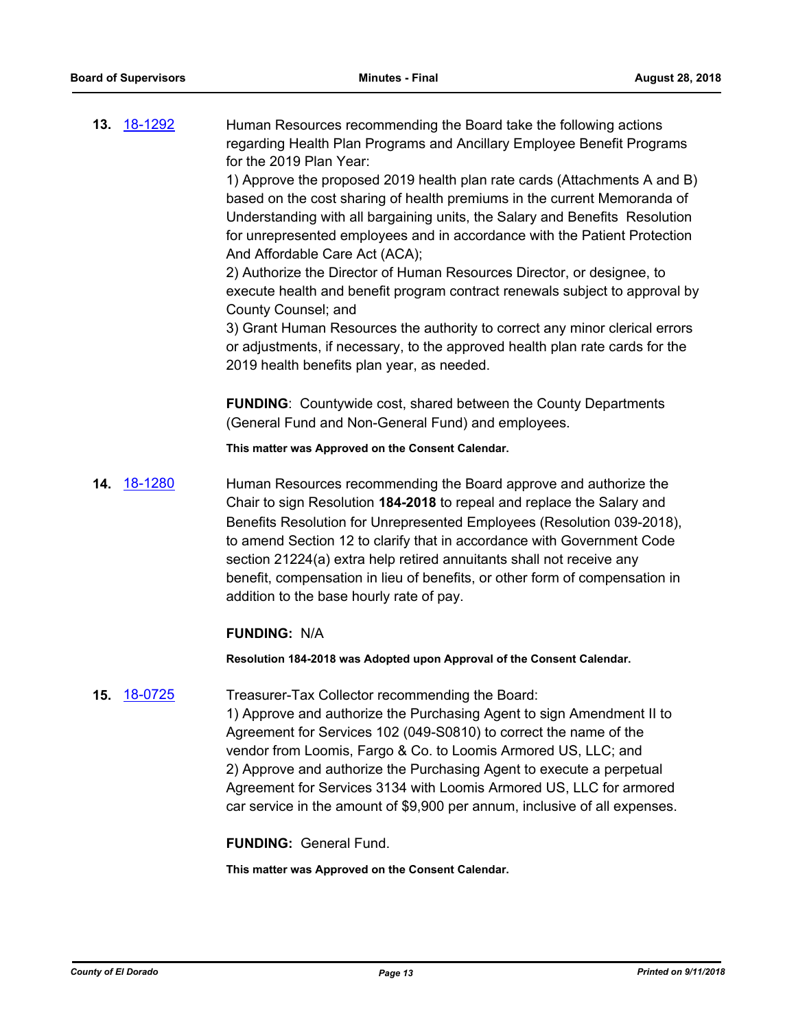**13.** [18-1292](http://eldorado.legistar.com/gateway.aspx?m=l&id=/matter.aspx?key=24643) Human Resources recommending the Board take the following actions regarding Health Plan Programs and Ancillary Employee Benefit Programs for the 2019 Plan Year:

> 1) Approve the proposed 2019 health plan rate cards (Attachments A and B) based on the cost sharing of health premiums in the current Memoranda of Understanding with all bargaining units, the Salary and Benefits Resolution for unrepresented employees and in accordance with the Patient Protection And Affordable Care Act (ACA);

> 2) Authorize the Director of Human Resources Director, or designee, to execute health and benefit program contract renewals subject to approval by County Counsel; and

3) Grant Human Resources the authority to correct any minor clerical errors or adjustments, if necessary, to the approved health plan rate cards for the 2019 health benefits plan year, as needed.

**FUNDING**: Countywide cost, shared between the County Departments (General Fund and Non-General Fund) and employees.

**This matter was Approved on the Consent Calendar.**

**14.** [18-1280](http://eldorado.legistar.com/gateway.aspx?m=l&id=/matter.aspx?key=24631) Human Resources recommending the Board approve and authorize the Chair to sign Resolution **184-2018** to repeal and replace the Salary and Benefits Resolution for Unrepresented Employees (Resolution 039-2018), to amend Section 12 to clarify that in accordance with Government Code section 21224(a) extra help retired annuitants shall not receive any benefit, compensation in lieu of benefits, or other form of compensation in addition to the base hourly rate of pay.

## **FUNDING:** N/A

**Resolution 184-2018 was Adopted upon Approval of the Consent Calendar.**

#### **15.** [18-0725](http://eldorado.legistar.com/gateway.aspx?m=l&id=/matter.aspx?key=24072) Treasurer-Tax Collector recommending the Board:

1) Approve and authorize the Purchasing Agent to sign Amendment II to Agreement for Services 102 (049-S0810) to correct the name of the vendor from Loomis, Fargo & Co. to Loomis Armored US, LLC; and 2) Approve and authorize the Purchasing Agent to execute a perpetual Agreement for Services 3134 with Loomis Armored US, LLC for armored car service in the amount of \$9,900 per annum, inclusive of all expenses.

**FUNDING:** General Fund.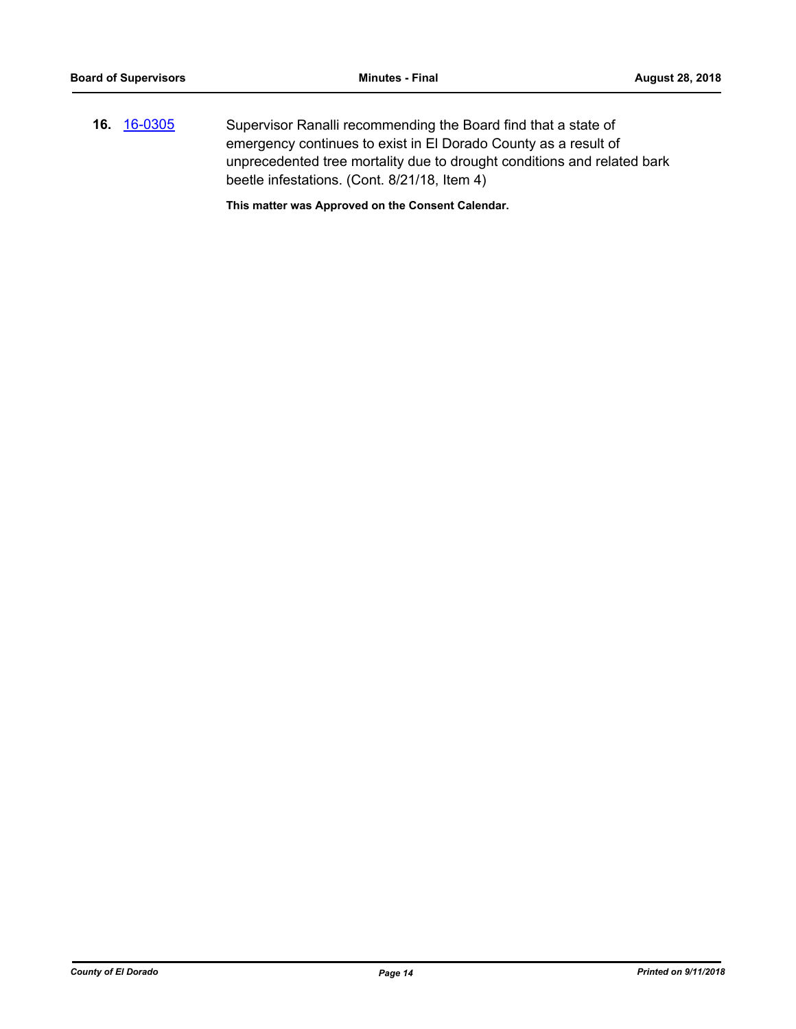**16.** [16-0305](http://eldorado.legistar.com/gateway.aspx?m=l&id=/matter.aspx?key=20961) Supervisor Ranalli recommending the Board find that a state of emergency continues to exist in El Dorado County as a result of unprecedented tree mortality due to drought conditions and related bark beetle infestations. (Cont. 8/21/18, Item 4)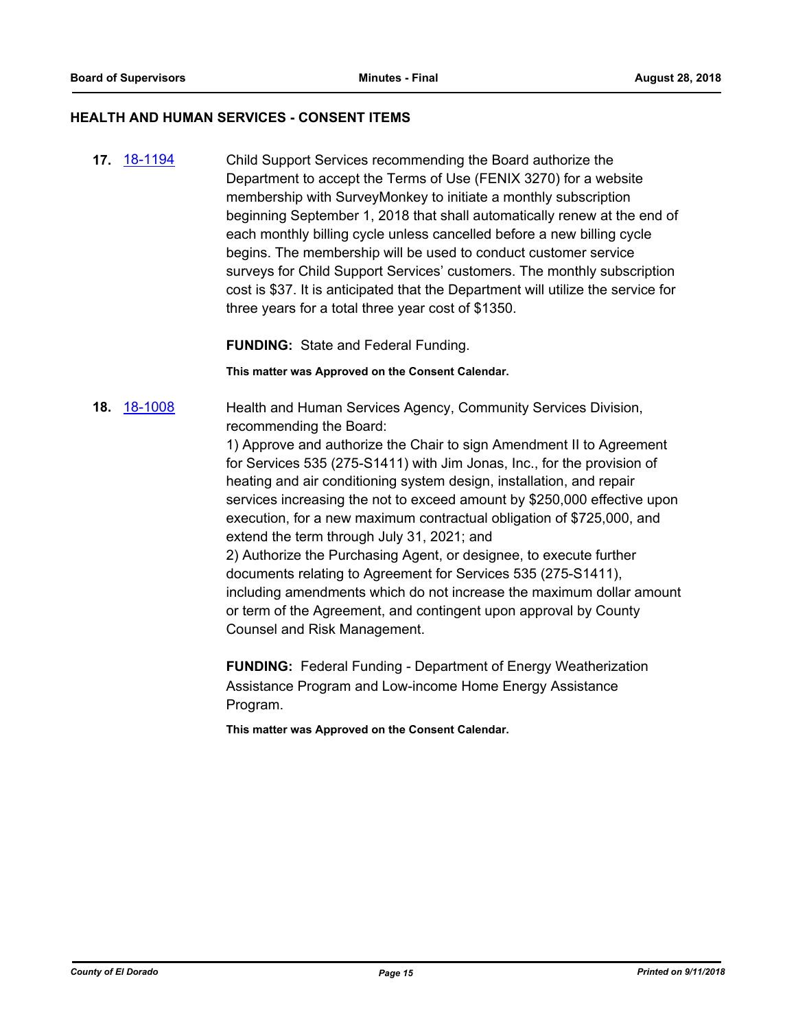#### **HEALTH AND HUMAN SERVICES - CONSENT ITEMS**

**17.** [18-1194](http://eldorado.legistar.com/gateway.aspx?m=l&id=/matter.aspx?key=24545) Child Support Services recommending the Board authorize the Department to accept the Terms of Use (FENIX 3270) for a website membership with SurveyMonkey to initiate a monthly subscription beginning September 1, 2018 that shall automatically renew at the end of each monthly billing cycle unless cancelled before a new billing cycle begins. The membership will be used to conduct customer service surveys for Child Support Services' customers. The monthly subscription cost is \$37. It is anticipated that the Department will utilize the service for three years for a total three year cost of \$1350.

**FUNDING:** State and Federal Funding.

**This matter was Approved on the Consent Calendar.**

18. [18-1008](http://eldorado.legistar.com/gateway.aspx?m=l&id=/matter.aspx?key=24357) Health and Human Services Agency, Community Services Division, recommending the Board:

> 1) Approve and authorize the Chair to sign Amendment II to Agreement for Services 535 (275-S1411) with Jim Jonas, Inc., for the provision of heating and air conditioning system design, installation, and repair services increasing the not to exceed amount by \$250,000 effective upon execution, for a new maximum contractual obligation of \$725,000, and extend the term through July 31, 2021; and 2) Authorize the Purchasing Agent, or designee, to execute further documents relating to Agreement for Services 535 (275-S1411), including amendments which do not increase the maximum dollar amount or term of the Agreement, and contingent upon approval by County

Counsel and Risk Management.

**FUNDING:** Federal Funding - Department of Energy Weatherization Assistance Program and Low-income Home Energy Assistance Program.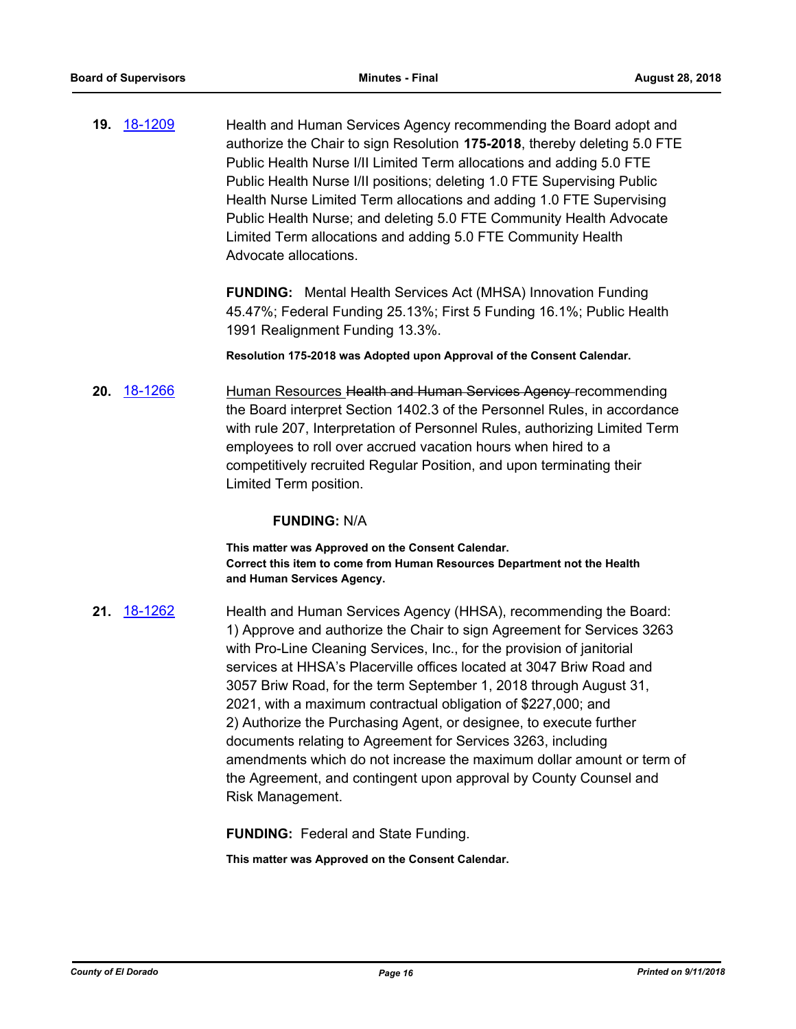**19.** [18-1209](http://eldorado.legistar.com/gateway.aspx?m=l&id=/matter.aspx?key=24560) Health and Human Services Agency recommending the Board adopt and authorize the Chair to sign Resolution **175-2018**, thereby deleting 5.0 FTE Public Health Nurse I/II Limited Term allocations and adding 5.0 FTE Public Health Nurse I/II positions; deleting 1.0 FTE Supervising Public Health Nurse Limited Term allocations and adding 1.0 FTE Supervising Public Health Nurse; and deleting 5.0 FTE Community Health Advocate Limited Term allocations and adding 5.0 FTE Community Health Advocate allocations.

> **FUNDING:** Mental Health Services Act (MHSA) Innovation Funding 45.47%; Federal Funding 25.13%; First 5 Funding 16.1%; Public Health 1991 Realignment Funding 13.3%.

**Resolution 175-2018 was Adopted upon Approval of the Consent Calendar.**

**20.** [18-1266](http://eldorado.legistar.com/gateway.aspx?m=l&id=/matter.aspx?key=24617) Human Resources Health and Human Services Agency recommending the Board interpret Section 1402.3 of the Personnel Rules, in accordance with rule 207, Interpretation of Personnel Rules, authorizing Limited Term employees to roll over accrued vacation hours when hired to a competitively recruited Regular Position, and upon terminating their Limited Term position.

#### **FUNDING:** N/A

**This matter was Approved on the Consent Calendar. Correct this item to come from Human Resources Department not the Health and Human Services Agency.**

**21.** [18-1262](http://eldorado.legistar.com/gateway.aspx?m=l&id=/matter.aspx?key=24613) Health and Human Services Agency (HHSA), recommending the Board: 1) Approve and authorize the Chair to sign Agreement for Services 3263 with Pro-Line Cleaning Services, Inc., for the provision of janitorial services at HHSA's Placerville offices located at 3047 Briw Road and 3057 Briw Road, for the term September 1, 2018 through August 31, 2021, with a maximum contractual obligation of \$227,000; and 2) Authorize the Purchasing Agent, or designee, to execute further documents relating to Agreement for Services 3263, including amendments which do not increase the maximum dollar amount or term of the Agreement, and contingent upon approval by County Counsel and Risk Management.

**FUNDING:** Federal and State Funding.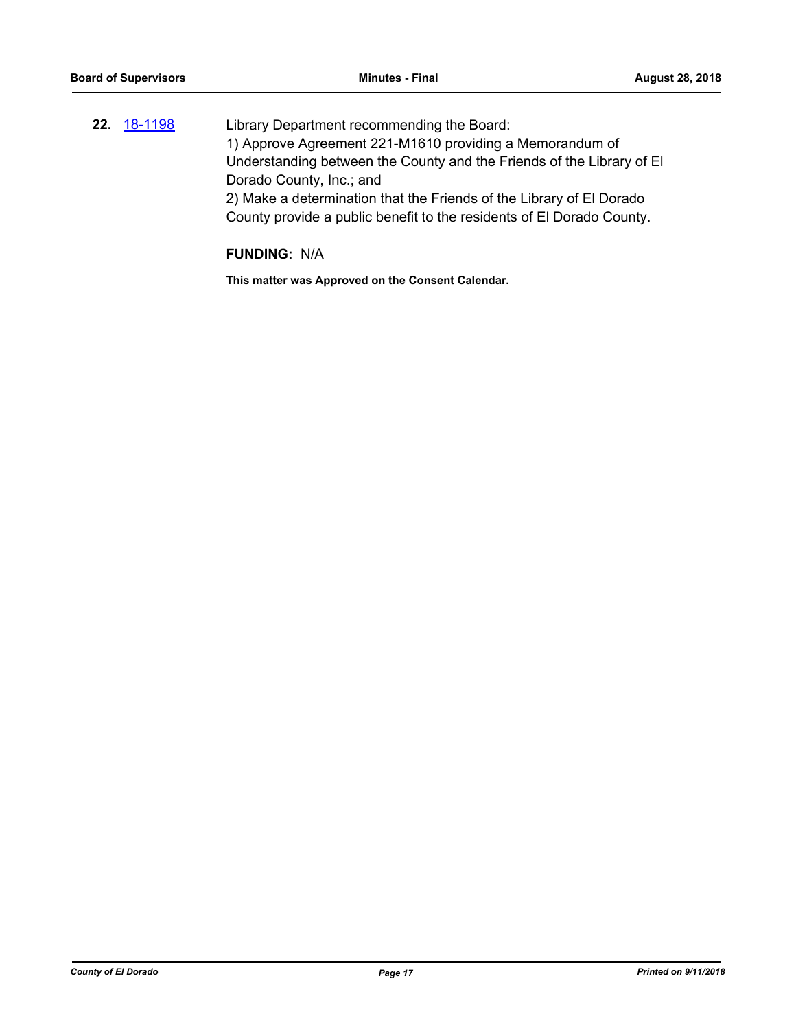**22.** [18-1198](http://eldorado.legistar.com/gateway.aspx?m=l&id=/matter.aspx?key=24549) Library Department recommending the Board: 1) Approve Agreement 221-M1610 providing a Memorandum of Understanding between the County and the Friends of the Library of El Dorado County, Inc.; and 2) Make a determination that the Friends of the Library of El Dorado County provide a public benefit to the residents of El Dorado County.

#### **FUNDING:** N/A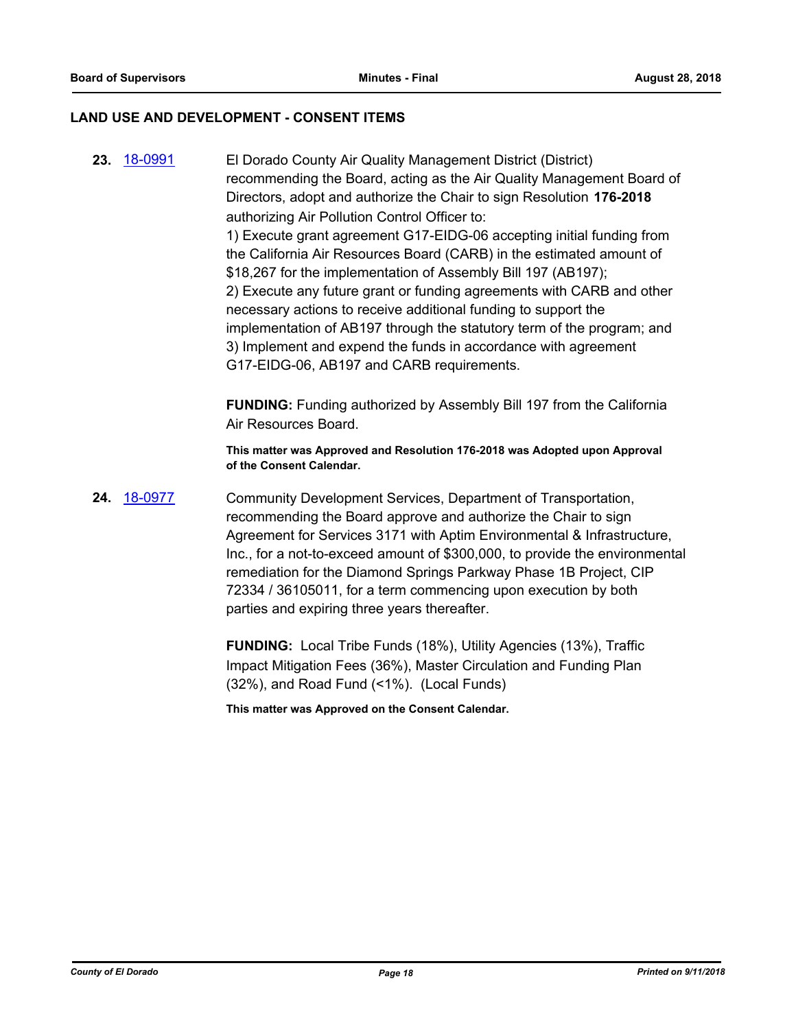#### **LAND USE AND DEVELOPMENT - CONSENT ITEMS**

**23.** [18-0991](http://eldorado.legistar.com/gateway.aspx?m=l&id=/matter.aspx?key=24340) El Dorado County Air Quality Management District (District) recommending the Board, acting as the Air Quality Management Board of Directors, adopt and authorize the Chair to sign Resolution **176-2018**  authorizing Air Pollution Control Officer to: 1) Execute grant agreement G17-EIDG-06 accepting initial funding from the California Air Resources Board (CARB) in the estimated amount of \$18,267 for the implementation of Assembly Bill 197 (AB197); 2) Execute any future grant or funding agreements with CARB and other necessary actions to receive additional funding to support the implementation of AB197 through the statutory term of the program; and 3) Implement and expend the funds in accordance with agreement G17-EIDG-06, AB197 and CARB requirements.

> **FUNDING:** Funding authorized by Assembly Bill 197 from the California Air Resources Board.

> **This matter was Approved and Resolution 176-2018 was Adopted upon Approval of the Consent Calendar.**

**24.** [18-0977](http://eldorado.legistar.com/gateway.aspx?m=l&id=/matter.aspx?key=24325) Community Development Services, Department of Transportation, recommending the Board approve and authorize the Chair to sign Agreement for Services 3171 with Aptim Environmental & Infrastructure, Inc., for a not-to-exceed amount of \$300,000, to provide the environmental remediation for the Diamond Springs Parkway Phase 1B Project, CIP 72334 / 36105011, for a term commencing upon execution by both parties and expiring three years thereafter.

> **FUNDING:** Local Tribe Funds (18%), Utility Agencies (13%), Traffic Impact Mitigation Fees (36%), Master Circulation and Funding Plan (32%), and Road Fund (<1%). (Local Funds)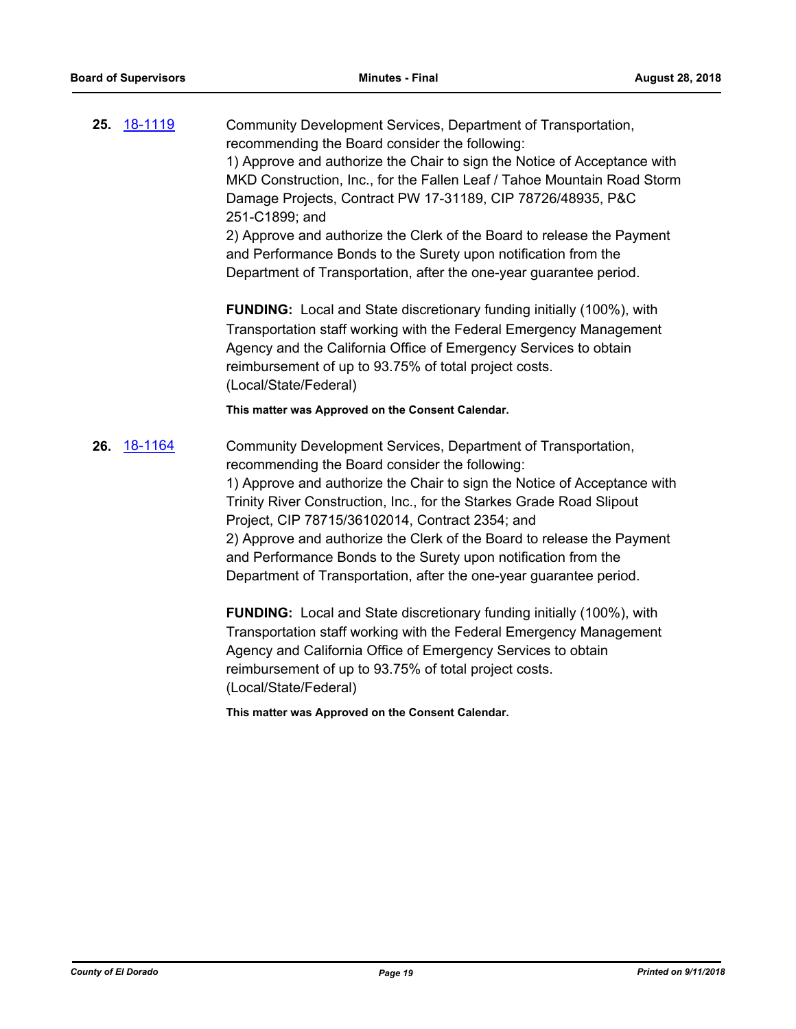**25.** [18-1119](http://eldorado.legistar.com/gateway.aspx?m=l&id=/matter.aspx?key=24469) Community Development Services, Department of Transportation, recommending the Board consider the following: 1) Approve and authorize the Chair to sign the Notice of Acceptance with MKD Construction, Inc., for the Fallen Leaf / Tahoe Mountain Road Storm Damage Projects, Contract PW 17-31189, CIP 78726/48935, P&C 251-C1899; and 2) Approve and authorize the Clerk of the Board to release the Payment and Performance Bonds to the Surety upon notification from the Department of Transportation, after the one-year guarantee period.

> **FUNDING:** Local and State discretionary funding initially (100%), with Transportation staff working with the Federal Emergency Management Agency and the California Office of Emergency Services to obtain reimbursement of up to 93.75% of total project costs. (Local/State/Federal)

#### **This matter was Approved on the Consent Calendar.**

**26.** [18-1164](http://eldorado.legistar.com/gateway.aspx?m=l&id=/matter.aspx?key=24514) Community Development Services, Department of Transportation, recommending the Board consider the following: 1) Approve and authorize the Chair to sign the Notice of Acceptance with Trinity River Construction, Inc., for the Starkes Grade Road Slipout Project, CIP 78715/36102014, Contract 2354; and 2) Approve and authorize the Clerk of the Board to release the Payment and Performance Bonds to the Surety upon notification from the Department of Transportation, after the one-year guarantee period.

> **FUNDING:** Local and State discretionary funding initially (100%), with Transportation staff working with the Federal Emergency Management Agency and California Office of Emergency Services to obtain reimbursement of up to 93.75% of total project costs. (Local/State/Federal)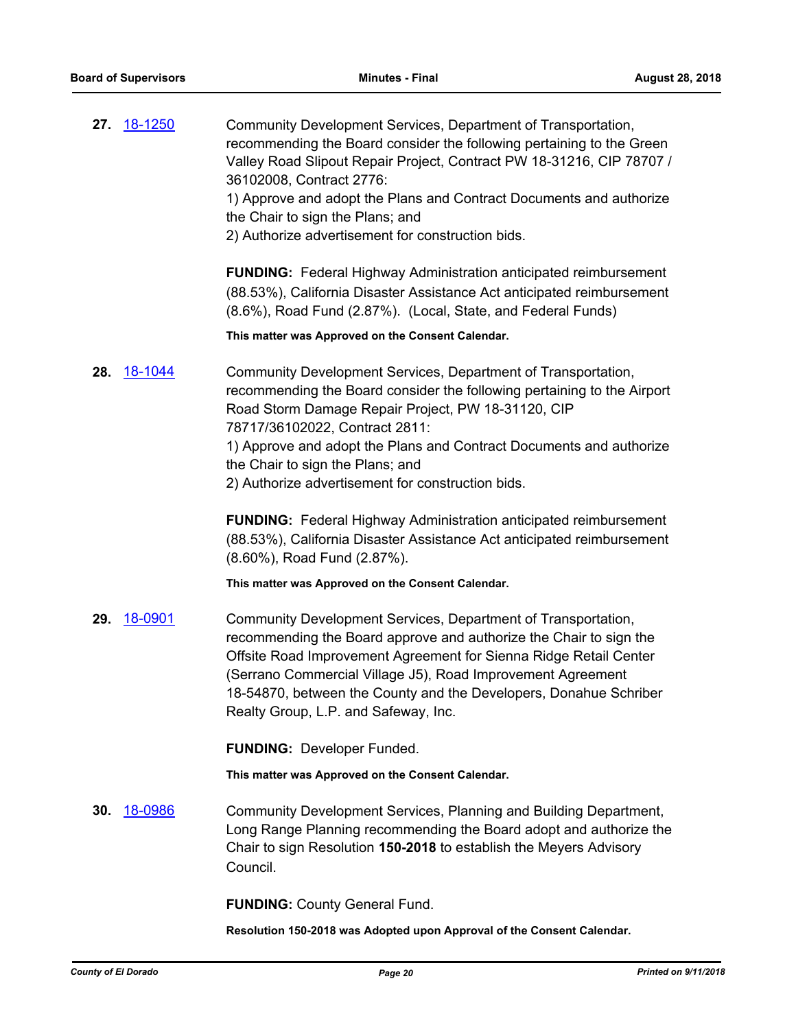**27.** [18-1250](http://eldorado.legistar.com/gateway.aspx?m=l&id=/matter.aspx?key=24601) Community Development Services, Department of Transportation, recommending the Board consider the following pertaining to the Green Valley Road Slipout Repair Project, Contract PW 18-31216, CIP 78707 / 36102008, Contract 2776: 1) Approve and adopt the Plans and Contract Documents and authorize the Chair to sign the Plans; and 2) Authorize advertisement for construction bids. **FUNDING:** Federal Highway Administration anticipated reimbursement (88.53%), California Disaster Assistance Act anticipated reimbursement (8.6%), Road Fund (2.87%). (Local, State, and Federal Funds) **This matter was Approved on the Consent Calendar. 28.** [18-1044](http://eldorado.legistar.com/gateway.aspx?m=l&id=/matter.aspx?key=24393) Community Development Services, Department of Transportation, recommending the Board consider the following pertaining to the Airport Road Storm Damage Repair Project, PW 18-31120, CIP 78717/36102022, Contract 2811: 1) Approve and adopt the Plans and Contract Documents and authorize the Chair to sign the Plans; and 2) Authorize advertisement for construction bids. **FUNDING:** Federal Highway Administration anticipated reimbursement (88.53%), California Disaster Assistance Act anticipated reimbursement (8.60%), Road Fund (2.87%). **This matter was Approved on the Consent Calendar. 29.** [18-0901](http://eldorado.legistar.com/gateway.aspx?m=l&id=/matter.aspx?key=24249) Community Development Services, Department of Transportation, recommending the Board approve and authorize the Chair to sign the Offsite Road Improvement Agreement for Sienna Ridge Retail Center (Serrano Commercial Village J5), Road Improvement Agreement 18-54870, between the County and the Developers, Donahue Schriber Realty Group, L.P. and Safeway, Inc. **FUNDING:** Developer Funded. **This matter was Approved on the Consent Calendar. 30.** [18-0986](http://eldorado.legistar.com/gateway.aspx?m=l&id=/matter.aspx?key=24334) Community Development Services, Planning and Building Department, Long Range Planning recommending the Board adopt and authorize the Chair to sign Resolution **150-2018** to establish the Meyers Advisory Council. **FUNDING:** County General Fund. **Resolution 150-2018 was Adopted upon Approval of the Consent Calendar.**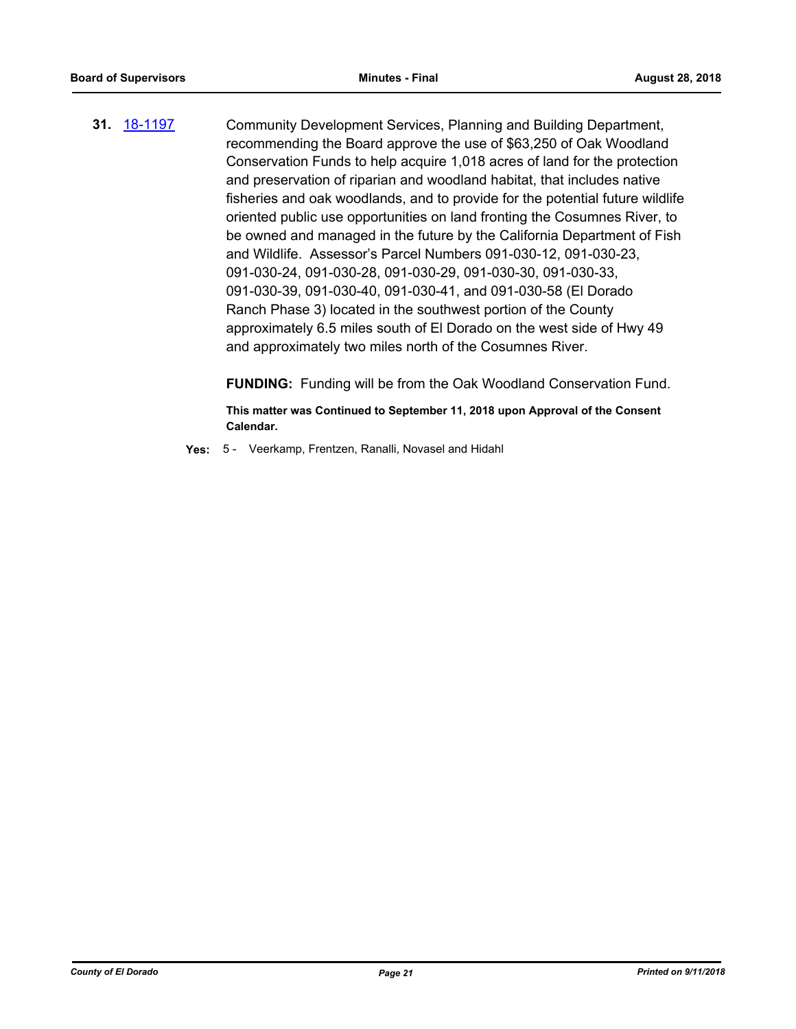**31.** [18-1197](http://eldorado.legistar.com/gateway.aspx?m=l&id=/matter.aspx?key=24548) Community Development Services, Planning and Building Department, recommending the Board approve the use of \$63,250 of Oak Woodland Conservation Funds to help acquire 1,018 acres of land for the protection and preservation of riparian and woodland habitat, that includes native fisheries and oak woodlands, and to provide for the potential future wildlife oriented public use opportunities on land fronting the Cosumnes River, to be owned and managed in the future by the California Department of Fish and Wildlife. Assessor's Parcel Numbers 091-030-12, 091-030-23, 091-030-24, 091-030-28, 091-030-29, 091-030-30, 091-030-33, 091-030-39, 091-030-40, 091-030-41, and 091-030-58 (El Dorado Ranch Phase 3) located in the southwest portion of the County approximately 6.5 miles south of El Dorado on the west side of Hwy 49 and approximately two miles north of the Cosumnes River.

**FUNDING:** Funding will be from the Oak Woodland Conservation Fund.

**This matter was Continued to September 11, 2018 upon Approval of the Consent Calendar.**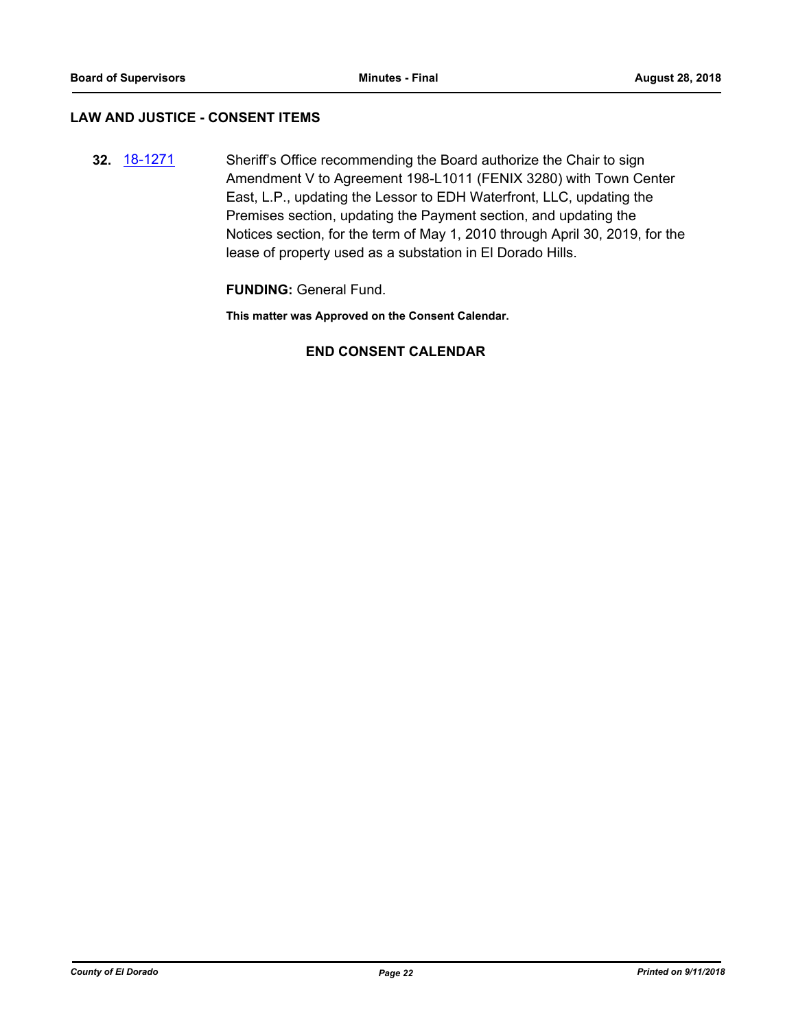## **LAW AND JUSTICE - CONSENT ITEMS**

**32.** [18-1271](http://eldorado.legistar.com/gateway.aspx?m=l&id=/matter.aspx?key=24622) Sheriff's Office recommending the Board authorize the Chair to sign Amendment V to Agreement 198-L1011 (FENIX 3280) with Town Center East, L.P., updating the Lessor to EDH Waterfront, LLC, updating the Premises section, updating the Payment section, and updating the Notices section, for the term of May 1, 2010 through April 30, 2019, for the lease of property used as a substation in El Dorado Hills.

**FUNDING:** General Fund.

**This matter was Approved on the Consent Calendar.**

## **END CONSENT CALENDAR**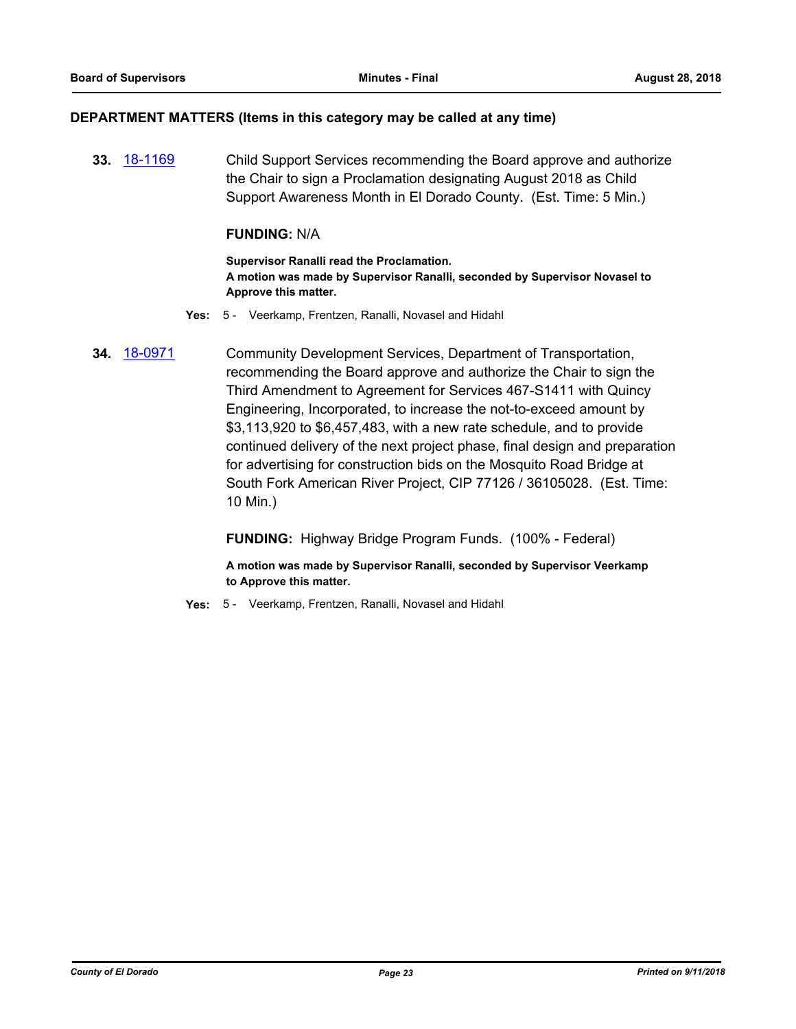#### **DEPARTMENT MATTERS (Items in this category may be called at any time)**

**33.** [18-1169](http://eldorado.legistar.com/gateway.aspx?m=l&id=/matter.aspx?key=24519) Child Support Services recommending the Board approve and authorize the Chair to sign a Proclamation designating August 2018 as Child Support Awareness Month in El Dorado County. (Est. Time: 5 Min.)

#### **FUNDING:** N/A

**Supervisor Ranalli read the Proclamation. A motion was made by Supervisor Ranalli, seconded by Supervisor Novasel to Approve this matter.**

- **Yes:** 5 Veerkamp, Frentzen, Ranalli, Novasel and Hidahl
- **34.** [18-0971](http://eldorado.legistar.com/gateway.aspx?m=l&id=/matter.aspx?key=24319) Community Development Services, Department of Transportation, recommending the Board approve and authorize the Chair to sign the Third Amendment to Agreement for Services 467-S1411 with Quincy Engineering, Incorporated, to increase the not-to-exceed amount by \$3,113,920 to \$6,457,483, with a new rate schedule, and to provide continued delivery of the next project phase, final design and preparation for advertising for construction bids on the Mosquito Road Bridge at South Fork American River Project, CIP 77126 / 36105028. (Est. Time: 10 Min.)

**FUNDING:** Highway Bridge Program Funds. (100% - Federal)

**A motion was made by Supervisor Ranalli, seconded by Supervisor Veerkamp to Approve this matter.**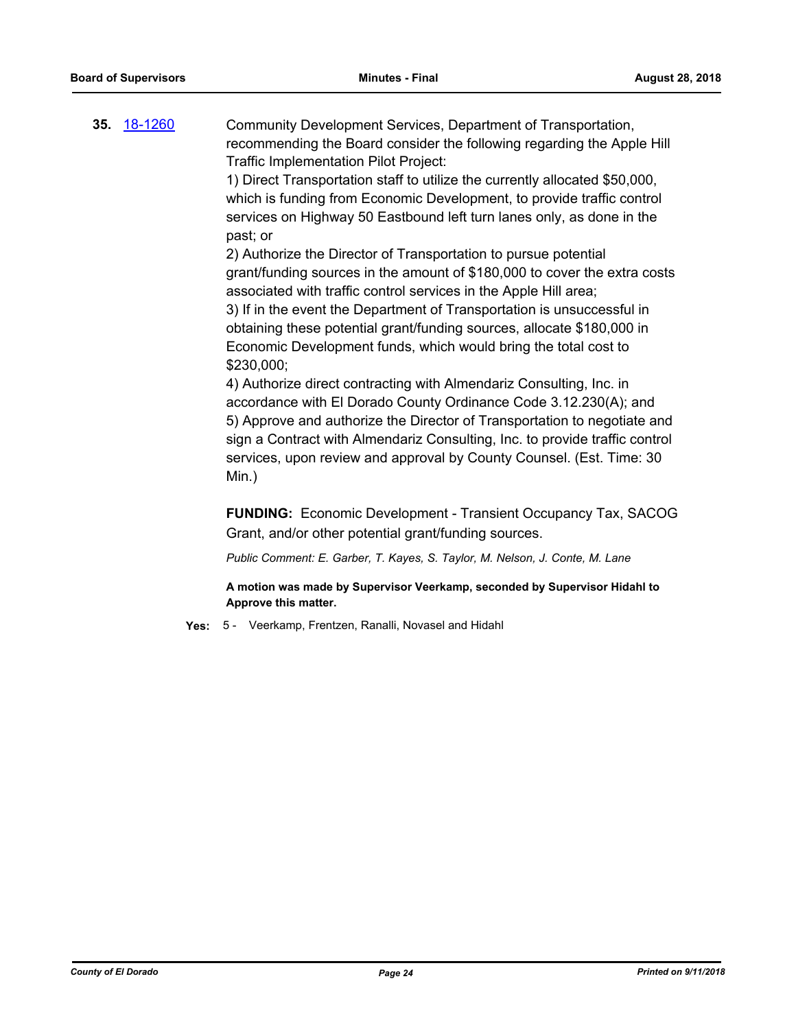**35.** [18-1260](http://eldorado.legistar.com/gateway.aspx?m=l&id=/matter.aspx?key=24611) Community Development Services, Department of Transportation, recommending the Board consider the following regarding the Apple Hill Traffic Implementation Pilot Project:

> 1) Direct Transportation staff to utilize the currently allocated \$50,000, which is funding from Economic Development, to provide traffic control services on Highway 50 Eastbound left turn lanes only, as done in the past; or

2) Authorize the Director of Transportation to pursue potential grant/funding sources in the amount of \$180,000 to cover the extra costs associated with traffic control services in the Apple Hill area;

3) If in the event the Department of Transportation is unsuccessful in obtaining these potential grant/funding sources, allocate \$180,000 in Economic Development funds, which would bring the total cost to \$230,000;

4) Authorize direct contracting with Almendariz Consulting, Inc. in accordance with El Dorado County Ordinance Code 3.12.230(A); and 5) Approve and authorize the Director of Transportation to negotiate and sign a Contract with Almendariz Consulting, Inc. to provide traffic control services, upon review and approval by County Counsel. (Est. Time: 30 Min.)

**FUNDING:** Economic Development - Transient Occupancy Tax, SACOG Grant, and/or other potential grant/funding sources.

*Public Comment: E. Garber, T. Kayes, S. Taylor, M. Nelson, J. Conte, M. Lane*

**A motion was made by Supervisor Veerkamp, seconded by Supervisor Hidahl to Approve this matter.**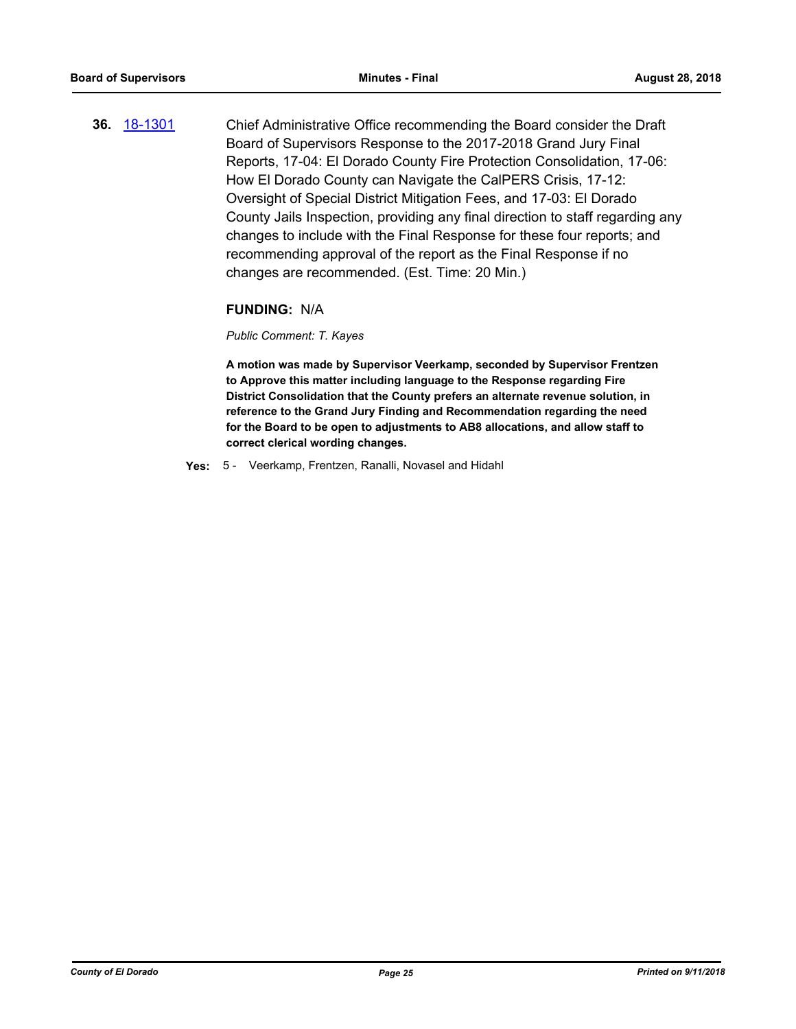**36.** [18-1301](http://eldorado.legistar.com/gateway.aspx?m=l&id=/matter.aspx?key=24652) Chief Administrative Office recommending the Board consider the Draft Board of Supervisors Response to the 2017-2018 Grand Jury Final Reports, 17-04: El Dorado County Fire Protection Consolidation, 17-06: How El Dorado County can Navigate the CalPERS Crisis, 17-12: Oversight of Special District Mitigation Fees, and 17-03: El Dorado County Jails Inspection, providing any final direction to staff regarding any changes to include with the Final Response for these four reports; and recommending approval of the report as the Final Response if no changes are recommended. (Est. Time: 20 Min.)

## **FUNDING:** N/A

#### *Public Comment: T. Kayes*

**A motion was made by Supervisor Veerkamp, seconded by Supervisor Frentzen to Approve this matter including language to the Response regarding Fire District Consolidation that the County prefers an alternate revenue solution, in reference to the Grand Jury Finding and Recommendation regarding the need for the Board to be open to adjustments to AB8 allocations, and allow staff to correct clerical wording changes.**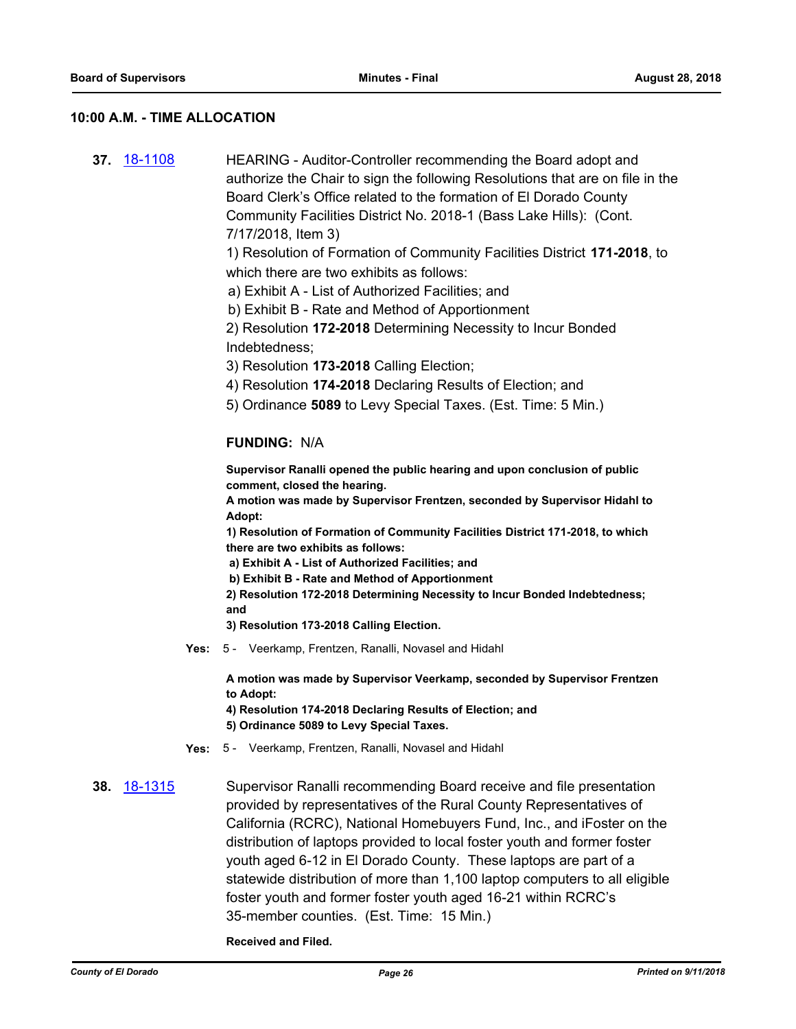#### **10:00 A.M. - TIME ALLOCATION**

**37.** [18-1108](http://eldorado.legistar.com/gateway.aspx?m=l&id=/matter.aspx?key=24458) HEARING - Auditor-Controller recommending the Board adopt and authorize the Chair to sign the following Resolutions that are on file in the Board Clerk's Office related to the formation of El Dorado County Community Facilities District No. 2018-1 (Bass Lake Hills): (Cont. 7/17/2018, Item 3) 1) Resolution of Formation of Community Facilities District **171-2018**, to which there are two exhibits as follows:

a) Exhibit A - List of Authorized Facilities; and

b) Exhibit B - Rate and Method of Apportionment

2) Resolution **172-2018** Determining Necessity to Incur Bonded Indebtedness;

3) Resolution **173-2018** Calling Election;

4) Resolution **174-2018** Declaring Results of Election; and

5) Ordinance **5089** to Levy Special Taxes. (Est. Time: 5 Min.)

#### **FUNDING:** N/A

**Supervisor Ranalli opened the public hearing and upon conclusion of public comment, closed the hearing.**

**A motion was made by Supervisor Frentzen, seconded by Supervisor Hidahl to Adopt:**

**1) Resolution of Formation of Community Facilities District 171-2018, to which there are two exhibits as follows:**

 **a) Exhibit A - List of Authorized Facilities; and**

 **b) Exhibit B - Rate and Method of Apportionment**

**2) Resolution 172-2018 Determining Necessity to Incur Bonded Indebtedness; and**

**3) Resolution 173-2018 Calling Election.**

**Yes:** 5 - Veerkamp, Frentzen, Ranalli, Novasel and Hidahl

**A motion was made by Supervisor Veerkamp, seconded by Supervisor Frentzen to Adopt:**

**4) Resolution 174-2018 Declaring Results of Election; and**

- **5) Ordinance 5089 to Levy Special Taxes.**
- **Yes:** 5 Veerkamp, Frentzen, Ranalli, Novasel and Hidahl

**38.** [18-1315](http://eldorado.legistar.com/gateway.aspx?m=l&id=/matter.aspx?key=24666) Supervisor Ranalli recommending Board receive and file presentation provided by representatives of the Rural County Representatives of California (RCRC), National Homebuyers Fund, Inc., and iFoster on the distribution of laptops provided to local foster youth and former foster youth aged 6-12 in El Dorado County. These laptops are part of a statewide distribution of more than 1,100 laptop computers to all eligible foster youth and former foster youth aged 16-21 within RCRC's 35-member counties. (Est. Time: 15 Min.)

**Received and Filed.**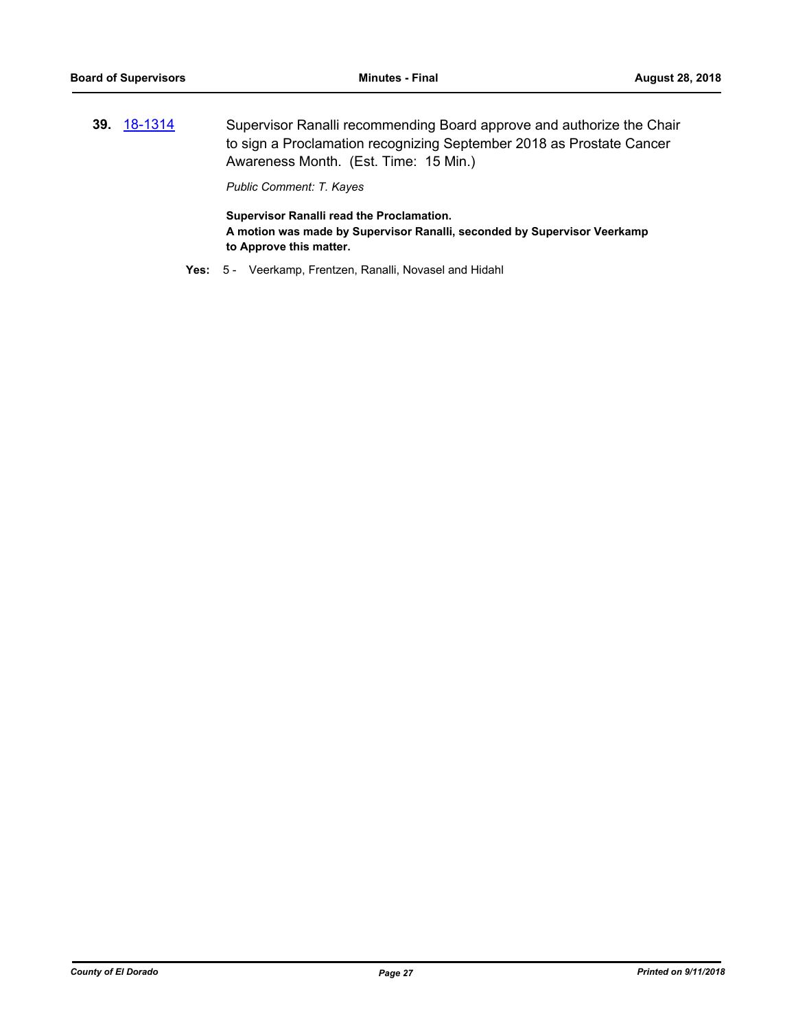**39.** [18-1314](http://eldorado.legistar.com/gateway.aspx?m=l&id=/matter.aspx?key=24665) Supervisor Ranalli recommending Board approve and authorize the Chair to sign a Proclamation recognizing September 2018 as Prostate Cancer Awareness Month. (Est. Time: 15 Min.)

*Public Comment: T. Kayes*

**Supervisor Ranalli read the Proclamation. A motion was made by Supervisor Ranalli, seconded by Supervisor Veerkamp to Approve this matter.**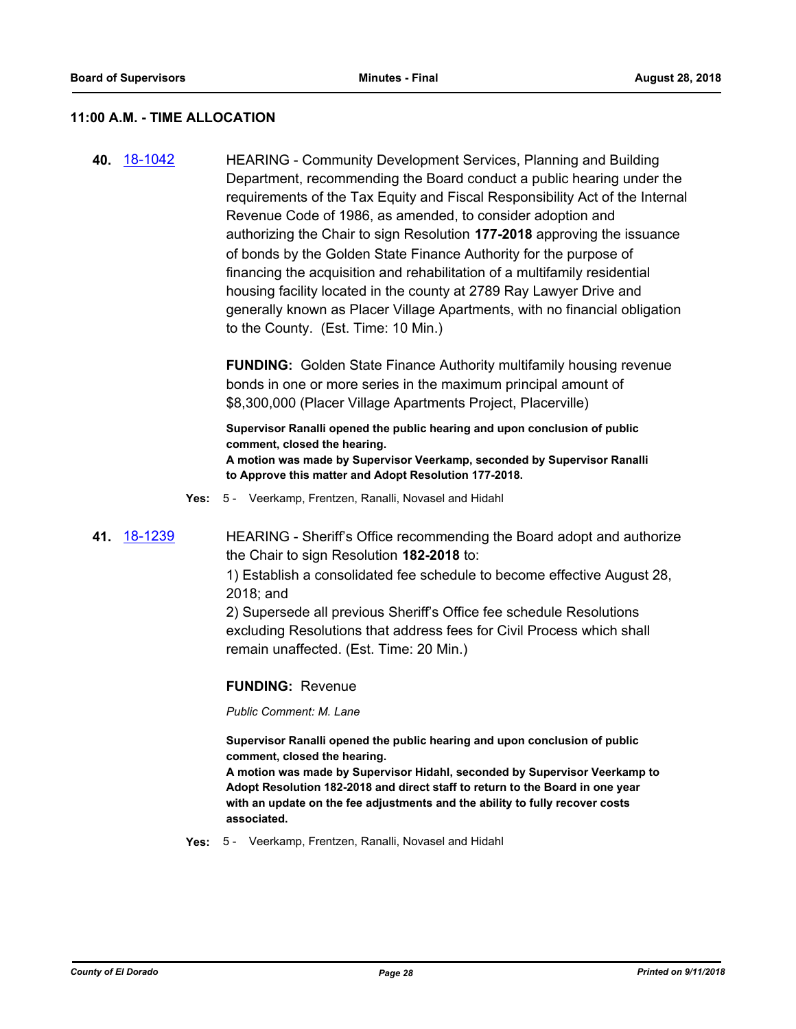#### **11:00 A.M. - TIME ALLOCATION**

**40.** [18-1042](http://eldorado.legistar.com/gateway.aspx?m=l&id=/matter.aspx?key=24391) HEARING - Community Development Services, Planning and Building Department, recommending the Board conduct a public hearing under the requirements of the Tax Equity and Fiscal Responsibility Act of the Internal Revenue Code of 1986, as amended, to consider adoption and authorizing the Chair to sign Resolution **177-2018** approving the issuance of bonds by the Golden State Finance Authority for the purpose of financing the acquisition and rehabilitation of a multifamily residential housing facility located in the county at 2789 Ray Lawyer Drive and generally known as Placer Village Apartments, with no financial obligation to the County. (Est. Time: 10 Min.)

> **FUNDING:** Golden State Finance Authority multifamily housing revenue bonds in one or more series in the maximum principal amount of \$8,300,000 (Placer Village Apartments Project, Placerville)

**Supervisor Ranalli opened the public hearing and upon conclusion of public comment, closed the hearing. A motion was made by Supervisor Veerkamp, seconded by Supervisor Ranalli to Approve this matter and Adopt Resolution 177-2018.**

- **Yes:** 5 Veerkamp, Frentzen, Ranalli, Novasel and Hidahl
- **41.** [18-1239](http://eldorado.legistar.com/gateway.aspx?m=l&id=/matter.aspx?key=24590) HEARING Sheriff's Office recommending the Board adopt and authorize the Chair to sign Resolution **182-2018** to:

1) Establish a consolidated fee schedule to become effective August 28, 2018; and

2) Supersede all previous Sheriff's Office fee schedule Resolutions excluding Resolutions that address fees for Civil Process which shall remain unaffected. (Est. Time: 20 Min.)

#### **FUNDING:** Revenue

*Public Comment: M. Lane*

**Supervisor Ranalli opened the public hearing and upon conclusion of public comment, closed the hearing.**

**A motion was made by Supervisor Hidahl, seconded by Supervisor Veerkamp to Adopt Resolution 182-2018 and direct staff to return to the Board in one year with an update on the fee adjustments and the ability to fully recover costs associated.**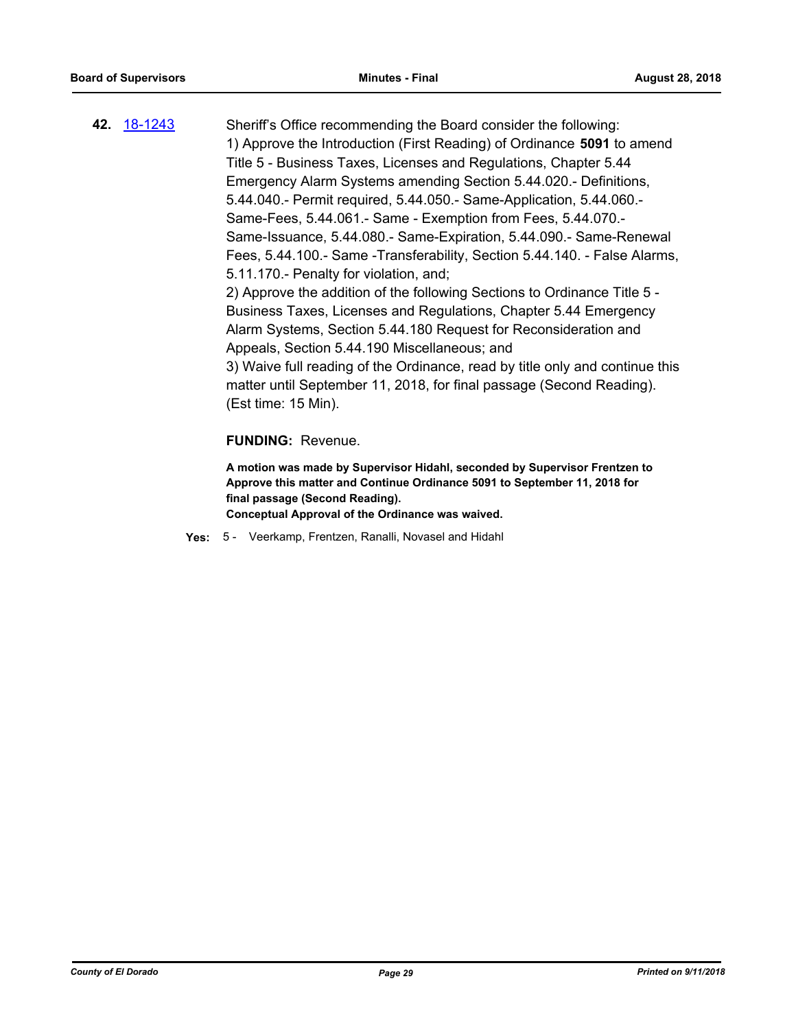**42.** [18-1243](http://eldorado.legistar.com/gateway.aspx?m=l&id=/matter.aspx?key=24594) Sheriff's Office recommending the Board consider the following: 1) Approve the Introduction (First Reading) of Ordinance **5091** to amend Title 5 - Business Taxes, Licenses and Regulations, Chapter 5.44 Emergency Alarm Systems amending Section 5.44.020.- Definitions, 5.44.040.- Permit required, 5.44.050.- Same-Application, 5.44.060.- Same-Fees, 5.44.061.- Same - Exemption from Fees, 5.44.070.- Same-Issuance, 5.44.080.- Same-Expiration, 5.44.090.- Same-Renewal Fees, 5.44.100.- Same -Transferability, Section 5.44.140. - False Alarms, 5.11.170.- Penalty for violation, and; 2) Approve the addition of the following Sections to Ordinance Title 5 - Business Taxes, Licenses and Regulations, Chapter 5.44 Emergency Alarm Systems, Section 5.44.180 Request for Reconsideration and Appeals, Section 5.44.190 Miscellaneous; and 3) Waive full reading of the Ordinance, read by title only and continue this matter until September 11, 2018, for final passage (Second Reading).

(Est time: 15 Min).

#### **FUNDING:** Revenue.

**A motion was made by Supervisor Hidahl, seconded by Supervisor Frentzen to Approve this matter and Continue Ordinance 5091 to September 11, 2018 for final passage (Second Reading). Conceptual Approval of the Ordinance was waived.**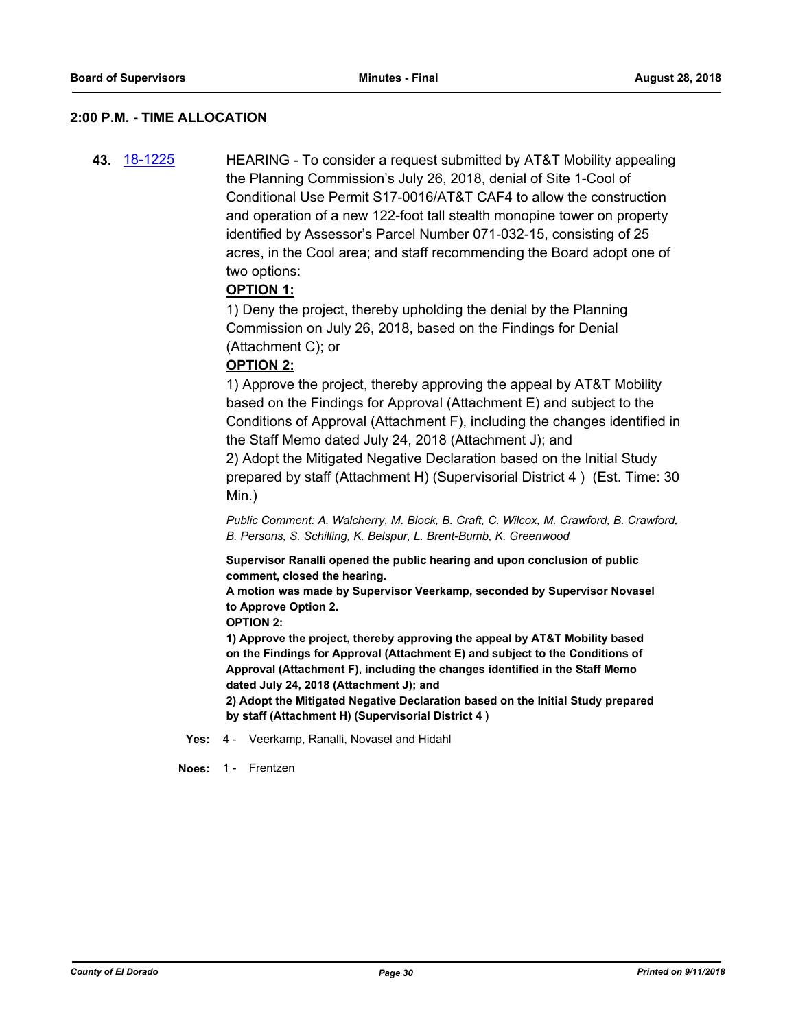#### **2:00 P.M. - TIME ALLOCATION**

**43.** [18-1225](http://eldorado.legistar.com/gateway.aspx?m=l&id=/matter.aspx?key=24576) HEARING - To consider a request submitted by AT&T Mobility appealing the Planning Commission's July 26, 2018, denial of Site 1-Cool of Conditional Use Permit S17-0016/AT&T CAF4 to allow the construction and operation of a new 122-foot tall stealth monopine tower on property identified by Assessor's Parcel Number 071-032-15, consisting of 25 acres, in the Cool area; and staff recommending the Board adopt one of two options:

## **OPTION 1:**

1) Deny the project, thereby upholding the denial by the Planning Commission on July 26, 2018, based on the Findings for Denial (Attachment C); or

## **OPTION 2:**

1) Approve the project, thereby approving the appeal by AT&T Mobility based on the Findings for Approval (Attachment E) and subject to the Conditions of Approval (Attachment F), including the changes identified in the Staff Memo dated July 24, 2018 (Attachment J); and

2) Adopt the Mitigated Negative Declaration based on the Initial Study prepared by staff (Attachment H) (Supervisorial District 4 ) (Est. Time: 30 Min.)

*Public Comment: A. Walcherry, M. Block, B. Craft, C. Wilcox, M. Crawford, B. Crawford, B. Persons, S. Schilling, K. Belspur, L. Brent-Bumb, K. Greenwood*

**Supervisor Ranalli opened the public hearing and upon conclusion of public comment, closed the hearing.**

**A motion was made by Supervisor Veerkamp, seconded by Supervisor Novasel to Approve Option 2.**

**OPTION 2:**

**1) Approve the project, thereby approving the appeal by AT&T Mobility based on the Findings for Approval (Attachment E) and subject to the Conditions of Approval (Attachment F), including the changes identified in the Staff Memo dated July 24, 2018 (Attachment J); and**

**2) Adopt the Mitigated Negative Declaration based on the Initial Study prepared by staff (Attachment H) (Supervisorial District 4 )**

**Yes:** 4 - Veerkamp, Ranalli, Novasel and Hidahl

**Noes:** 1 - Frentzen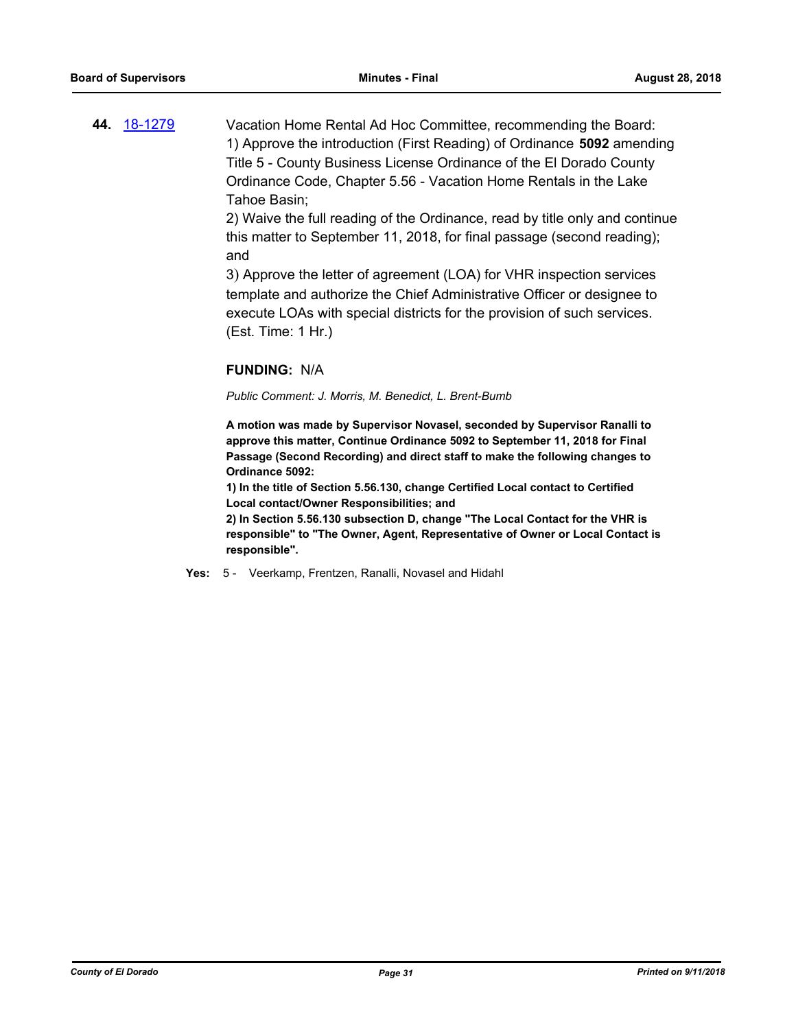**44.** [18-1279](http://eldorado.legistar.com/gateway.aspx?m=l&id=/matter.aspx?key=24630) Vacation Home Rental Ad Hoc Committee, recommending the Board: 1) Approve the introduction (First Reading) of Ordinance **5092** amending Title 5 - County Business License Ordinance of the El Dorado County Ordinance Code, Chapter 5.56 - Vacation Home Rentals in the Lake Tahoe Basin;

> 2) Waive the full reading of the Ordinance, read by title only and continue this matter to September 11, 2018, for final passage (second reading); and

3) Approve the letter of agreement (LOA) for VHR inspection services template and authorize the Chief Administrative Officer or designee to execute LOAs with special districts for the provision of such services. (Est. Time: 1 Hr.)

## **FUNDING:** N/A

*Public Comment: J. Morris, M. Benedict, L. Brent-Bumb*

**A motion was made by Supervisor Novasel, seconded by Supervisor Ranalli to approve this matter, Continue Ordinance 5092 to September 11, 2018 for Final Passage (Second Recording) and direct staff to make the following changes to Ordinance 5092:**

**1) In the title of Section 5.56.130, change Certified Local contact to Certified Local contact/Owner Responsibilities; and**

**2) In Section 5.56.130 subsection D, change "The Local Contact for the VHR is responsible" to "The Owner, Agent, Representative of Owner or Local Contact is responsible".**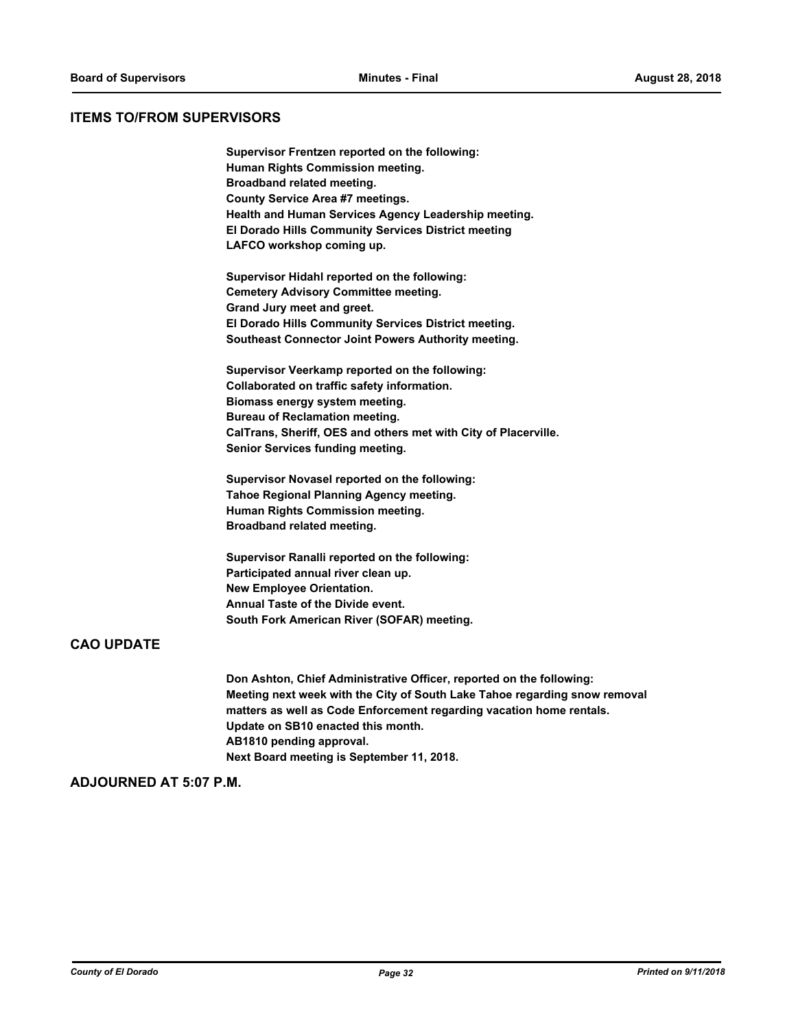## **ITEMS TO/FROM SUPERVISORS**

**Supervisor Frentzen reported on the following: Human Rights Commission meeting. Broadband related meeting. County Service Area #7 meetings. Health and Human Services Agency Leadership meeting. El Dorado Hills Community Services District meeting LAFCO workshop coming up.**

**Supervisor Hidahl reported on the following: Cemetery Advisory Committee meeting. Grand Jury meet and greet. El Dorado Hills Community Services District meeting. Southeast Connector Joint Powers Authority meeting.**

**Supervisor Veerkamp reported on the following: Collaborated on traffic safety information. Biomass energy system meeting. Bureau of Reclamation meeting. CalTrans, Sheriff, OES and others met with City of Placerville. Senior Services funding meeting.**

**Supervisor Novasel reported on the following: Tahoe Regional Planning Agency meeting. Human Rights Commission meeting. Broadband related meeting.**

**Supervisor Ranalli reported on the following: Participated annual river clean up. New Employee Orientation. Annual Taste of the Divide event. South Fork American River (SOFAR) meeting.**

## **CAO UPDATE**

**Don Ashton, Chief Administrative Officer, reported on the following: Meeting next week with the City of South Lake Tahoe regarding snow removal matters as well as Code Enforcement regarding vacation home rentals. Update on SB10 enacted this month. AB1810 pending approval. Next Board meeting is September 11, 2018.**

## **ADJOURNED AT 5:07 P.M.**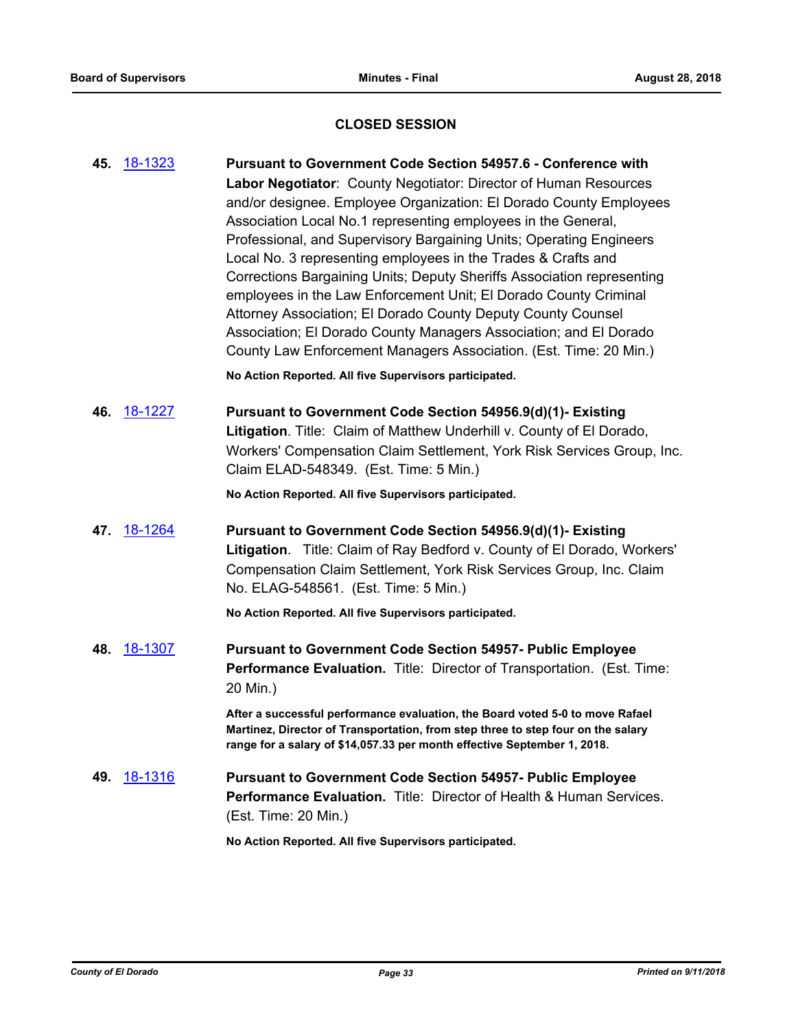## **CLOSED SESSION**

**45.** [18-1323](http://eldorado.legistar.com/gateway.aspx?m=l&id=/matter.aspx?key=24674) **Pursuant to Government Code Section 54957.6 - Conference with Labor Negotiator**: County Negotiator: Director of Human Resources and/or designee. Employee Organization: El Dorado County Employees Association Local No.1 representing employees in the General, Professional, and Supervisory Bargaining Units; Operating Engineers Local No. 3 representing employees in the Trades & Crafts and Corrections Bargaining Units; Deputy Sheriffs Association representing employees in the Law Enforcement Unit; El Dorado County Criminal Attorney Association; El Dorado County Deputy County Counsel Association; El Dorado County Managers Association; and El Dorado County Law Enforcement Managers Association. (Est. Time: 20 Min.) **No Action Reported. All five Supervisors participated. 46.** [18-1227](http://eldorado.legistar.com/gateway.aspx?m=l&id=/matter.aspx?key=24578) **Pursuant to Government Code Section 54956.9(d)(1)- Existing Litigation**. Title: Claim of Matthew Underhill v. County of El Dorado, Workers' Compensation Claim Settlement, York Risk Services Group, Inc. Claim ELAD-548349. (Est. Time: 5 Min.) **No Action Reported. All five Supervisors participated. 47.** [18-1264](http://eldorado.legistar.com/gateway.aspx?m=l&id=/matter.aspx?key=24615) **Pursuant to Government Code Section 54956.9(d)(1)- Existing Litigation**. Title: Claim of Ray Bedford v. County of El Dorado, Workers' Compensation Claim Settlement, York Risk Services Group, Inc. Claim No. ELAG-548561. (Est. Time: 5 Min.) **No Action Reported. All five Supervisors participated. 48.** [18-1307](http://eldorado.legistar.com/gateway.aspx?m=l&id=/matter.aspx?key=24658) **Pursuant to Government Code Section 54957- Public Employee Performance Evaluation.** Title: Director of Transportation. (Est. Time: 20 Min.) **After a successful performance evaluation, the Board voted 5-0 to move Rafael Martinez, Director of Transportation, from step three to step four on the salary range for a salary of \$14,057.33 per month effective September 1, 2018. 49.** [18-1316](http://eldorado.legistar.com/gateway.aspx?m=l&id=/matter.aspx?key=24667) **Pursuant to Government Code Section 54957- Public Employee Performance Evaluation.** Title: Director of Health & Human Services. (Est. Time: 20 Min.) **No Action Reported. All five Supervisors participated.**